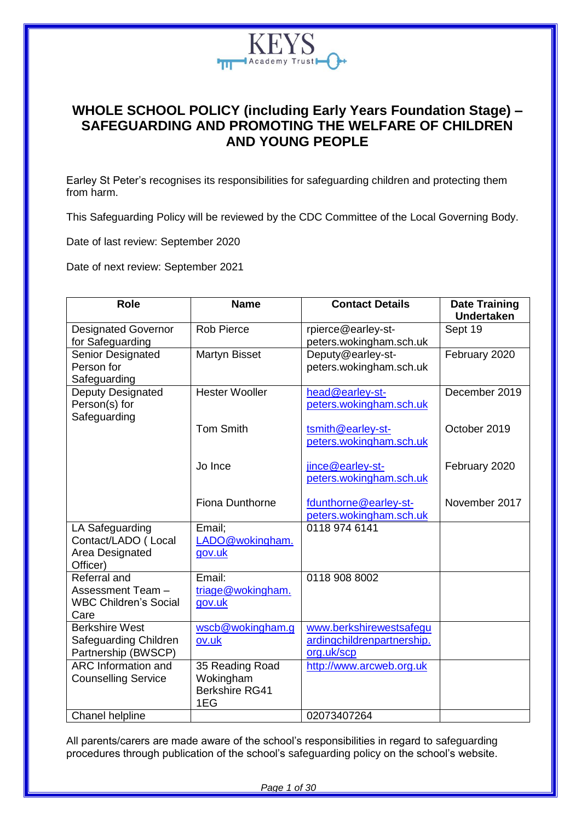

## **WHOLE SCHOOL POLICY (including Early Years Foundation Stage) – SAFEGUARDING AND PROMOTING THE WELFARE OF CHILDREN AND YOUNG PEOPLE**

Earley St Peter's recognises its responsibilities for safeguarding children and protecting them from harm.

This Safeguarding Policy will be reviewed by the CDC Committee of the Local Governing Body.

Date of last review: September 2020

Date of next review: September 2021

| <b>Role</b>                                                               | <b>Name</b>                                                  | <b>Contact Details</b>                                              | <b>Date Training</b><br><b>Undertaken</b> |
|---------------------------------------------------------------------------|--------------------------------------------------------------|---------------------------------------------------------------------|-------------------------------------------|
| <b>Designated Governor</b><br>for Safeguarding                            | <b>Rob Pierce</b>                                            | rpierce@earley-st-<br>peters.wokingham.sch.uk                       | Sept 19                                   |
| Senior Designated<br>Person for<br>Safeguarding                           | Martyn Bisset                                                | Deputy@earley-st-<br>peters.wokingham.sch.uk                        | February 2020                             |
| Deputy Designated<br>Person(s) for<br>Safeguarding                        | <b>Hester Wooller</b>                                        | head@earley-st-<br>peters.wokingham.sch.uk                          | December 2019                             |
|                                                                           | <b>Tom Smith</b>                                             | tsmith@earley-st-<br>peters.wokingham.sch.uk                        | October 2019                              |
|                                                                           | Jo Ince                                                      | jince@earley-st-<br>peters.wokingham.sch.uk                         | February 2020                             |
|                                                                           | <b>Fiona Dunthorne</b>                                       | fdunthorne@earley-st-<br>peters.wokingham.sch.uk                    | November 2017                             |
| LA Safeguarding<br>Contact/LADO (Local<br>Area Designated<br>Officer)     | Email;<br>LADO@wokingham.<br>gov.uk                          | 0118 974 6141                                                       |                                           |
| Referral and<br>Assessment Team -<br><b>WBC Children's Social</b><br>Care | Email:<br>triage@wokingham.<br>gov.uk                        | 0118 908 8002                                                       |                                           |
| <b>Berkshire West</b><br>Safeguarding Children<br>Partnership (BWSCP)     | wscb@wokingham.g<br>ov.uk                                    | www.berkshirewestsafegu<br>ardingchildrenpartnership.<br>org.uk/scp |                                           |
| <b>ARC</b> Information and<br><b>Counselling Service</b>                  | 35 Reading Road<br>Wokingham<br><b>Berkshire RG41</b><br>1EG | http://www.arcweb.org.uk                                            |                                           |
| Chanel helpline                                                           |                                                              | 02073407264                                                         |                                           |

All parents/carers are made aware of the school's responsibilities in regard to safeguarding procedures through publication of the school's safeguarding policy on the school's website.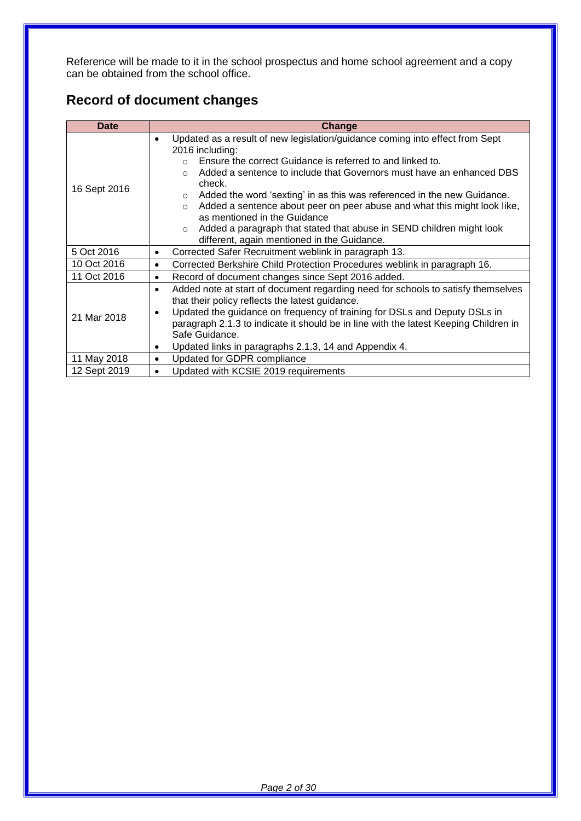Reference will be made to it in the school prospectus and home school agreement and a copy can be obtained from the school office.

# **Record of document changes**

| <b>Date</b>  | <b>Change</b>                                                                                                                                                                                                                                                                                                                                                                                                                                                                                                                                                                                                          |  |  |
|--------------|------------------------------------------------------------------------------------------------------------------------------------------------------------------------------------------------------------------------------------------------------------------------------------------------------------------------------------------------------------------------------------------------------------------------------------------------------------------------------------------------------------------------------------------------------------------------------------------------------------------------|--|--|
| 16 Sept 2016 | Updated as a result of new legislation/guidance coming into effect from Sept<br>$\bullet$<br>2016 including:<br>Ensure the correct Guidance is referred to and linked to.<br>Added a sentence to include that Governors must have an enhanced DBS<br>$\Omega$<br>check.<br>Added the word 'sexting' in as this was referenced in the new Guidance.<br>$\circ$<br>Added a sentence about peer on peer abuse and what this might look like,<br>$\circ$<br>as mentioned in the Guidance<br>Added a paragraph that stated that abuse in SEND children might look<br>$\circ$<br>different, again mentioned in the Guidance. |  |  |
| 5 Oct 2016   | Corrected Safer Recruitment weblink in paragraph 13.<br>$\bullet$                                                                                                                                                                                                                                                                                                                                                                                                                                                                                                                                                      |  |  |
| 10 Oct 2016  | Corrected Berkshire Child Protection Procedures weblink in paragraph 16.<br>$\bullet$                                                                                                                                                                                                                                                                                                                                                                                                                                                                                                                                  |  |  |
| 11 Oct 2016  | Record of document changes since Sept 2016 added.<br>$\bullet$                                                                                                                                                                                                                                                                                                                                                                                                                                                                                                                                                         |  |  |
| 21 Mar 2018  | Added note at start of document regarding need for schools to satisfy themselves<br>$\bullet$<br>that their policy reflects the latest guidance.<br>Updated the guidance on frequency of training for DSLs and Deputy DSLs in<br>$\bullet$<br>paragraph 2.1.3 to indicate it should be in line with the latest Keeping Children in<br>Safe Guidance.<br>Updated links in paragraphs 2.1.3, 14 and Appendix 4.<br>$\bullet$                                                                                                                                                                                             |  |  |
| 11 May 2018  | Updated for GDPR compliance<br>$\bullet$                                                                                                                                                                                                                                                                                                                                                                                                                                                                                                                                                                               |  |  |
| 12 Sept 2019 | Updated with KCSIE 2019 requirements                                                                                                                                                                                                                                                                                                                                                                                                                                                                                                                                                                                   |  |  |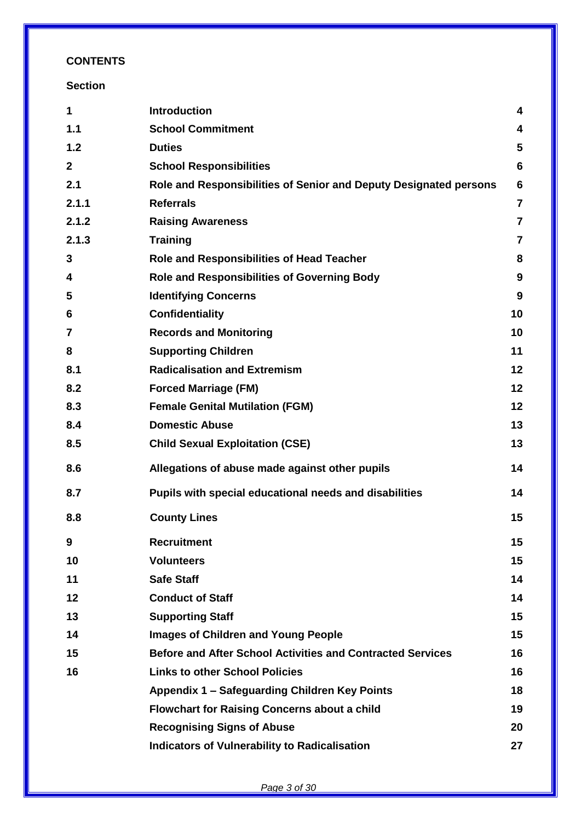## **CONTENTS**

## **Section**

| 1            | <b>Introduction</b>                                               | 4               |
|--------------|-------------------------------------------------------------------|-----------------|
| 1.1          | <b>School Commitment</b>                                          | 4               |
| 1.2          | <b>Duties</b>                                                     | 5               |
| $\mathbf{2}$ | <b>School Responsibilities</b>                                    | $6\phantom{1}6$ |
| 2.1          | Role and Responsibilities of Senior and Deputy Designated persons | $6\phantom{1}6$ |
| 2.1.1        | <b>Referrals</b>                                                  | $\overline{7}$  |
| 2.1.2        | <b>Raising Awareness</b>                                          | $\overline{7}$  |
| 2.1.3        | <b>Training</b>                                                   | $\overline{7}$  |
| 3            | <b>Role and Responsibilities of Head Teacher</b>                  | 8               |
| 4            | <b>Role and Responsibilities of Governing Body</b>                | 9               |
| 5            | <b>Identifying Concerns</b>                                       | 9               |
| 6            | <b>Confidentiality</b>                                            | 10              |
| 7            | <b>Records and Monitoring</b>                                     | 10              |
| 8            | <b>Supporting Children</b>                                        | 11              |
| 8.1          | <b>Radicalisation and Extremism</b>                               | 12              |
| 8.2          | <b>Forced Marriage (FM)</b>                                       | 12              |
| 8.3          | <b>Female Genital Mutilation (FGM)</b>                            | 12              |
| 8.4          | <b>Domestic Abuse</b>                                             | 13              |
| 8.5          | <b>Child Sexual Exploitation (CSE)</b>                            | 13              |
| 8.6          | Allegations of abuse made against other pupils                    | 14              |
| 8.7          | Pupils with special educational needs and disabilities            | 14              |
| 8.8          | <b>County Lines</b>                                               | 15              |
|              | <b>Recruitment</b>                                                | 15              |
| 10           | <b>Volunteers</b>                                                 | 15              |
| 11           | <b>Safe Staff</b>                                                 | 14              |
| 12           | <b>Conduct of Staff</b>                                           | 14              |
| 13           | <b>Supporting Staff</b>                                           | 15              |
| 14           | <b>Images of Children and Young People</b>                        | 15              |
| 15           | <b>Before and After School Activities and Contracted Services</b> | 16              |
| 16           | <b>Links to other School Policies</b>                             | 16              |
|              | Appendix 1 - Safeguarding Children Key Points                     | 18              |
|              | <b>Flowchart for Raising Concerns about a child</b>               | 19              |
|              | <b>Recognising Signs of Abuse</b>                                 | 20              |
|              | <b>Indicators of Vulnerability to Radicalisation</b>              | 27              |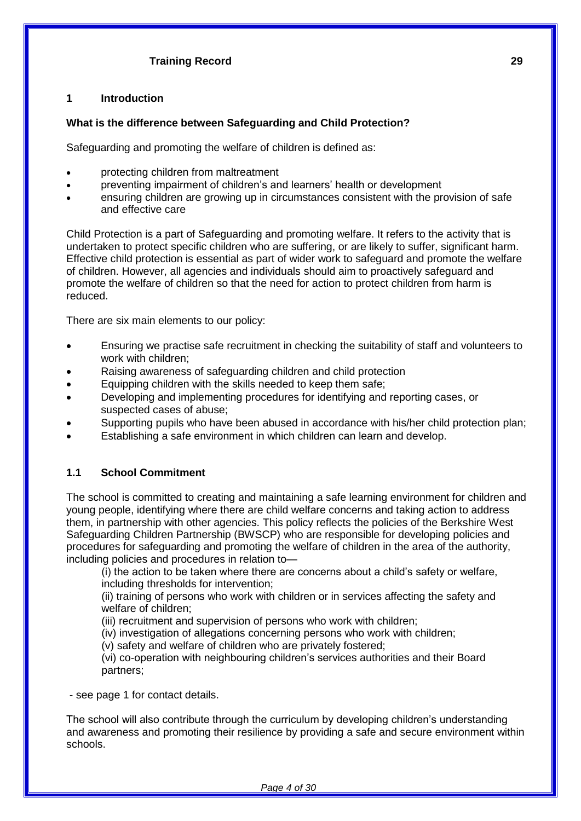## **Training Record 29**

#### **1 Introduction**

#### **What is the difference between Safeguarding and Child Protection?**

Safeguarding and promoting the welfare of children is defined as:

- protecting children from maltreatment
- preventing impairment of children's and learners' health or development
- ensuring children are growing up in circumstances consistent with the provision of safe and effective care

Child Protection is a part of Safeguarding and promoting welfare. It refers to the activity that is undertaken to protect specific children who are suffering, or are likely to suffer, significant harm. Effective child protection is essential as part of wider work to safeguard and promote the welfare of children. However, all agencies and individuals should aim to proactively safeguard and promote the welfare of children so that the need for action to protect children from harm is reduced.

There are six main elements to our policy:

- Ensuring we practise safe recruitment in checking the suitability of staff and volunteers to work with children;
- Raising awareness of safeguarding children and child protection
- Equipping children with the skills needed to keep them safe;
- Developing and implementing procedures for identifying and reporting cases, or suspected cases of abuse;
- Supporting pupils who have been abused in accordance with his/her child protection plan;
- Establishing a safe environment in which children can learn and develop.

## **1.1 School Commitment**

The school is committed to creating and maintaining a safe learning environment for children and young people, identifying where there are child welfare concerns and taking action to address them, in partnership with other agencies. This policy reflects the policies of the Berkshire West Safeguarding Children Partnership (BWSCP) who are responsible for developing policies and procedures for safeguarding and promoting the welfare of children in the area of the authority, including policies and procedures in relation to—

(i) the action to be taken where there are concerns about a child's safety or welfare, including thresholds for intervention;

(ii) training of persons who work with children or in services affecting the safety and welfare of children;

(iii) recruitment and supervision of persons who work with children;

(iv) investigation of allegations concerning persons who work with children;

(v) safety and welfare of children who are privately fostered;

(vi) co-operation with neighbouring children's services authorities and their Board partners;

- see page 1 for contact details.

The school will also contribute through the curriculum by developing children's understanding and awareness and promoting their resilience by providing a safe and secure environment within schools.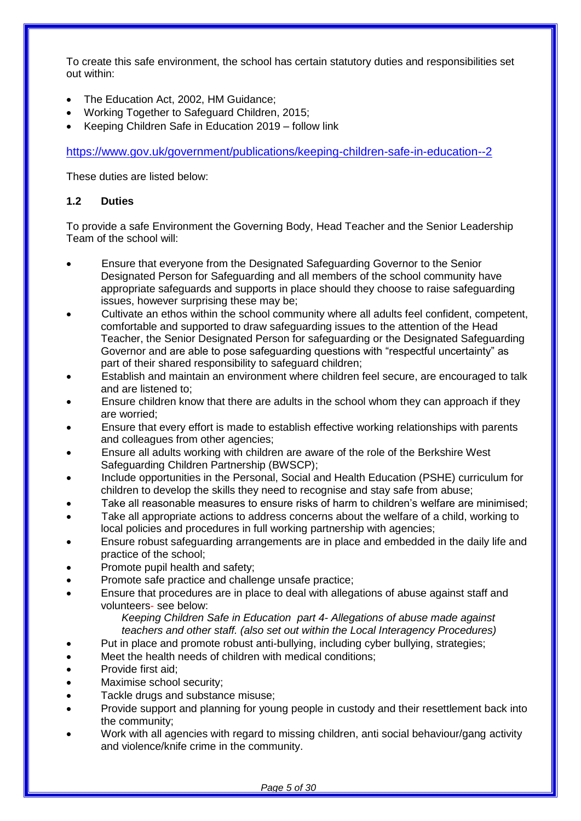To create this safe environment, the school has certain statutory duties and responsibilities set out within:

- The Education Act, 2002, HM Guidance;
- Working Together to Safeguard Children, 2015;
- Keeping Children Safe in Education 2019 follow link

<https://www.gov.uk/government/publications/keeping-children-safe-in-education--2>

These duties are listed below:

## **1.2 Duties**

To provide a safe Environment the Governing Body, Head Teacher and the Senior Leadership Team of the school will:

- Ensure that everyone from the Designated Safeguarding Governor to the Senior Designated Person for Safeguarding and all members of the school community have appropriate safeguards and supports in place should they choose to raise safeguarding issues, however surprising these may be;
- Cultivate an ethos within the school community where all adults feel confident, competent, comfortable and supported to draw safeguarding issues to the attention of the Head Teacher, the Senior Designated Person for safeguarding or the Designated Safeguarding Governor and are able to pose safeguarding questions with "respectful uncertainty" as part of their shared responsibility to safeguard children;
- Establish and maintain an environment where children feel secure, are encouraged to talk and are listened to;
- Ensure children know that there are adults in the school whom they can approach if they are worried;
- Ensure that every effort is made to establish effective working relationships with parents and colleagues from other agencies;
- Ensure all adults working with children are aware of the role of the Berkshire West Safeguarding Children Partnership (BWSCP);
- Include opportunities in the Personal, Social and Health Education (PSHE) curriculum for children to develop the skills they need to recognise and stay safe from abuse;
- Take all reasonable measures to ensure risks of harm to children's welfare are minimised;
- Take all appropriate actions to address concerns about the welfare of a child, working to local policies and procedures in full working partnership with agencies;
- Ensure robust safeguarding arrangements are in place and embedded in the daily life and practice of the school;
- Promote pupil health and safety;
- Promote safe practice and challenge unsafe practice;
- Ensure that procedures are in place to deal with allegations of abuse against staff and volunteers- see below:

*Keeping Children Safe in Education part 4- Allegations of abuse made against teachers and other staff. (also set out within the Local Interagency Procedures)*

- Put in place and promote robust anti-bullying, including cyber bullying, strategies;
- Meet the health needs of children with medical conditions;
- Provide first aid;
- Maximise school security;
- Tackle drugs and substance misuse;
- Provide support and planning for young people in custody and their resettlement back into the community;
- Work with all agencies with regard to missing children, anti social behaviour/gang activity and violence/knife crime in the community.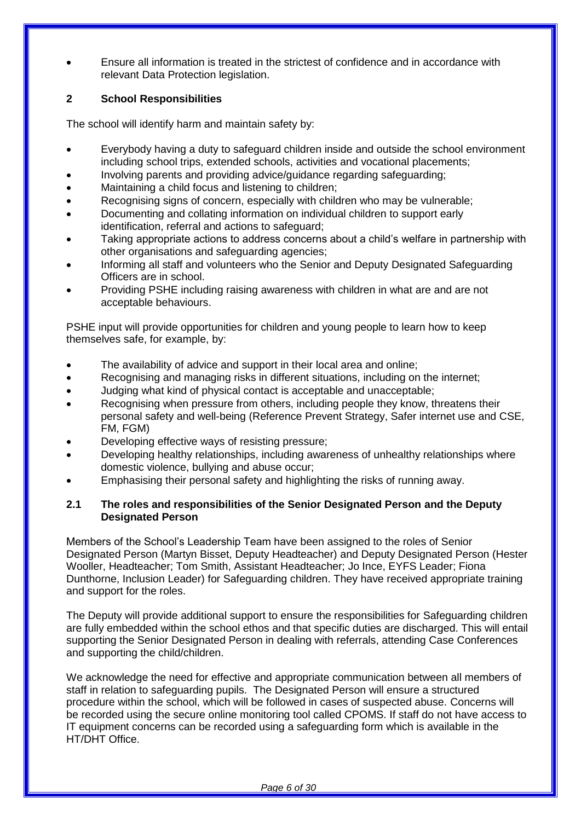Ensure all information is treated in the strictest of confidence and in accordance with relevant Data Protection legislation.

## **2 School Responsibilities**

The school will identify harm and maintain safety by:

- Everybody having a duty to safeguard children inside and outside the school environment including school trips, extended schools, activities and vocational placements;
- Involving parents and providing advice/guidance regarding safeguarding;
- Maintaining a child focus and listening to children;
- Recognising signs of concern, especially with children who may be vulnerable;
- Documenting and collating information on individual children to support early identification, referral and actions to safeguard;
- Taking appropriate actions to address concerns about a child's welfare in partnership with other organisations and safeguarding agencies;
- Informing all staff and volunteers who the Senior and Deputy Designated Safeguarding Officers are in school.
- Providing PSHE including raising awareness with children in what are and are not acceptable behaviours.

PSHE input will provide opportunities for children and young people to learn how to keep themselves safe, for example, by:

- The availability of advice and support in their local area and online;
- Recognising and managing risks in different situations, including on the internet;
- Judging what kind of physical contact is acceptable and unacceptable;
- Recognising when pressure from others, including people they know, threatens their personal safety and well-being (Reference Prevent Strategy, Safer internet use and CSE, FM, FGM)
- Developing effective ways of resisting pressure;
- Developing healthy relationships, including awareness of unhealthy relationships where domestic violence, bullying and abuse occur;
- Emphasising their personal safety and highlighting the risks of running away.

## **2.1 The roles and responsibilities of the Senior Designated Person and the Deputy Designated Person**

Members of the School's Leadership Team have been assigned to the roles of Senior Designated Person (Martyn Bisset, Deputy Headteacher) and Deputy Designated Person (Hester Wooller, Headteacher; Tom Smith, Assistant Headteacher; Jo Ince, EYFS Leader; Fiona Dunthorne, Inclusion Leader) for Safeguarding children. They have received appropriate training and support for the roles.

The Deputy will provide additional support to ensure the responsibilities for Safeguarding children are fully embedded within the school ethos and that specific duties are discharged. This will entail supporting the Senior Designated Person in dealing with referrals, attending Case Conferences and supporting the child/children.

We acknowledge the need for effective and appropriate communication between all members of staff in relation to safeguarding pupils. The Designated Person will ensure a structured procedure within the school, which will be followed in cases of suspected abuse. Concerns will be recorded using the secure online monitoring tool called CPOMS. If staff do not have access to IT equipment concerns can be recorded using a safeguarding form which is available in the HT/DHT Office.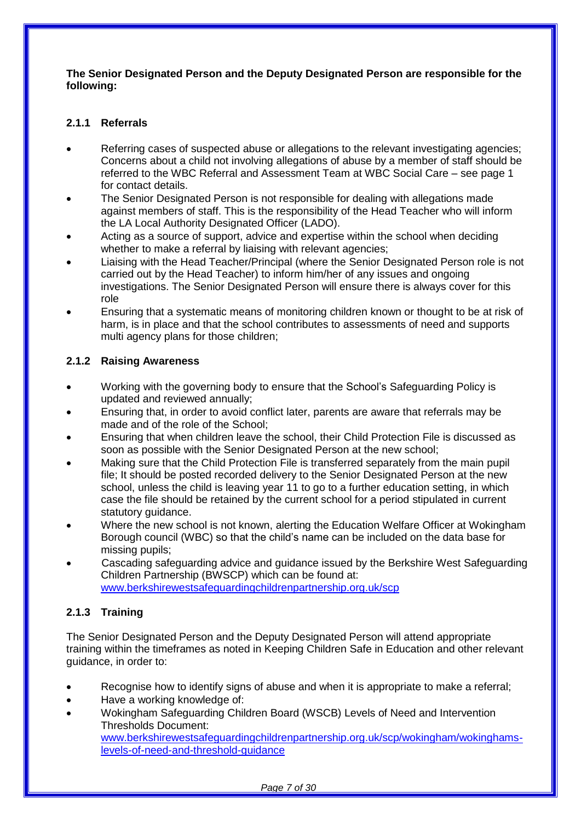#### **The Senior Designated Person and the Deputy Designated Person are responsible for the following:**

## **2.1.1 Referrals**

- Referring cases of suspected abuse or allegations to the relevant investigating agencies; Concerns about a child not involving allegations of abuse by a member of staff should be referred to the WBC Referral and Assessment Team at WBC Social Care – see page 1 for contact details.
- The Senior Designated Person is not responsible for dealing with allegations made against members of staff. This is the responsibility of the Head Teacher who will inform the LA Local Authority Designated Officer (LADO).
- Acting as a source of support, advice and expertise within the school when deciding whether to make a referral by liaising with relevant agencies;
- Liaising with the Head Teacher/Principal (where the Senior Designated Person role is not carried out by the Head Teacher) to inform him/her of any issues and ongoing investigations. The Senior Designated Person will ensure there is always cover for this role
- Ensuring that a systematic means of monitoring children known or thought to be at risk of harm, is in place and that the school contributes to assessments of need and supports multi agency plans for those children;

## **2.1.2 Raising Awareness**

- Working with the governing body to ensure that the School's Safeguarding Policy is updated and reviewed annually;
- Ensuring that, in order to avoid conflict later, parents are aware that referrals may be made and of the role of the School;
- Ensuring that when children leave the school, their Child Protection File is discussed as soon as possible with the Senior Designated Person at the new school;
- Making sure that the Child Protection File is transferred separately from the main pupil file; It should be posted recorded delivery to the Senior Designated Person at the new school, unless the child is leaving year 11 to go to a further education setting, in which case the file should be retained by the current school for a period stipulated in current statutory guidance.
- Where the new school is not known, alerting the Education Welfare Officer at Wokingham Borough council (WBC) so that the child's name can be included on the data base for missing pupils;
- Cascading safeguarding advice and guidance issued by the Berkshire West Safeguarding Children Partnership (BWSCP) which can be found at: [www.berkshirewestsafeguardingchildrenpartnership.org.uk/scp](http://www.berkshirewestsafeguardingchildrenpartnership.org.uk/scp)

## **2.1.3 Training**

The Senior Designated Person and the Deputy Designated Person will attend appropriate training within the timeframes as noted in Keeping Children Safe in Education and other relevant guidance, in order to:

- Recognise how to identify signs of abuse and when it is appropriate to make a referral;
- Have a working knowledge of:
- Wokingham Safeguarding Children Board (WSCB) Levels of Need and Intervention Thresholds Document:

[www.berkshirewestsafeguardingchildrenpartnership.org.uk/scp/wokingham/wokinghams](http://www.berkshirewestsafeguardingchildrenpartnership.org.uk/scp/wokingham/wokinghams-levels-of-need-and-threshold-guidance)[levels-of-need-and-threshold-guidance](http://www.berkshirewestsafeguardingchildrenpartnership.org.uk/scp/wokingham/wokinghams-levels-of-need-and-threshold-guidance)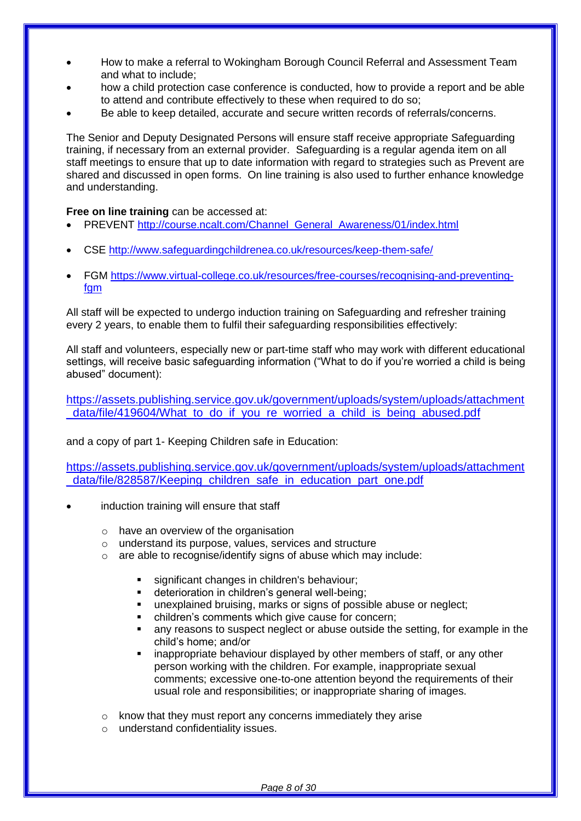- How to make a referral to Wokingham Borough Council Referral and Assessment Team and what to include;
- how a child protection case conference is conducted, how to provide a report and be able to attend and contribute effectively to these when required to do so;
- Be able to keep detailed, accurate and secure written records of referrals/concerns.

The Senior and Deputy Designated Persons will ensure staff receive appropriate Safeguarding training, if necessary from an external provider. Safeguarding is a regular agenda item on all staff meetings to ensure that up to date information with regard to strategies such as Prevent are shared and discussed in open forms. On line training is also used to further enhance knowledge and understanding.

## **Free on line training** can be accessed at:

- PREVENT [http://course.ncalt.com/Channel\\_General\\_Awareness/01/index.html](http://course.ncalt.com/Channel_General_Awareness/01/index.html)
- CSE<http://www.safeguardingchildrenea.co.uk/resources/keep-them-safe/>
- FGM [https://www.virtual-college.co.uk/resources/free-courses/recognising-and-preventing](https://www.virtual-college.co.uk/resources/free-courses/recognising-and-preventing-fgm)[fgm](https://www.virtual-college.co.uk/resources/free-courses/recognising-and-preventing-fgm)

All staff will be expected to undergo induction training on Safeguarding and refresher training every 2 years, to enable them to fulfil their safeguarding responsibilities effectively:

All staff and volunteers, especially new or part-time staff who may work with different educational settings, will receive basic safeguarding information ("What to do if you're worried a child is being abused" document):

[https://assets.publishing.service.gov.uk/government/uploads/system/uploads/attachment](https://assets.publishing.service.gov.uk/government/uploads/system/uploads/attachment_data/file/419604/What_to_do_if_you_re_worried_a_child_is_being_abused.pdf) data/file/419604/What to do if you re worried a child is being abused.pdf

and a copy of part 1- Keeping Children safe in Education:

[https://assets.publishing.service.gov.uk/government/uploads/system/uploads/attachment](https://assets.publishing.service.gov.uk/government/uploads/system/uploads/attachment_data/file/828587/Keeping_children_safe_in_education_part_one.pdf) data/file/828587/Keeping children safe in education part one.pdf

- induction training will ensure that staff
	- $\circ$  have an overview of the organisation
	- o understand its purpose, values, services and structure
	- o are able to recognise/identify signs of abuse which may include:
		- significant changes in children's behaviour;
		- deterioration in children's general well-being;
		- unexplained bruising, marks or signs of possible abuse or neglect;
		- children's comments which give cause for concern;
		- any reasons to suspect neglect or abuse outside the setting, for example in the child's home; and/or
		- inappropriate behaviour displayed by other members of staff, or any other person working with the children. For example, inappropriate sexual comments; excessive one-to-one attention beyond the requirements of their usual role and responsibilities; or inappropriate sharing of images.
	- o know that they must report any concerns immediately they arise
	- o understand confidentiality issues.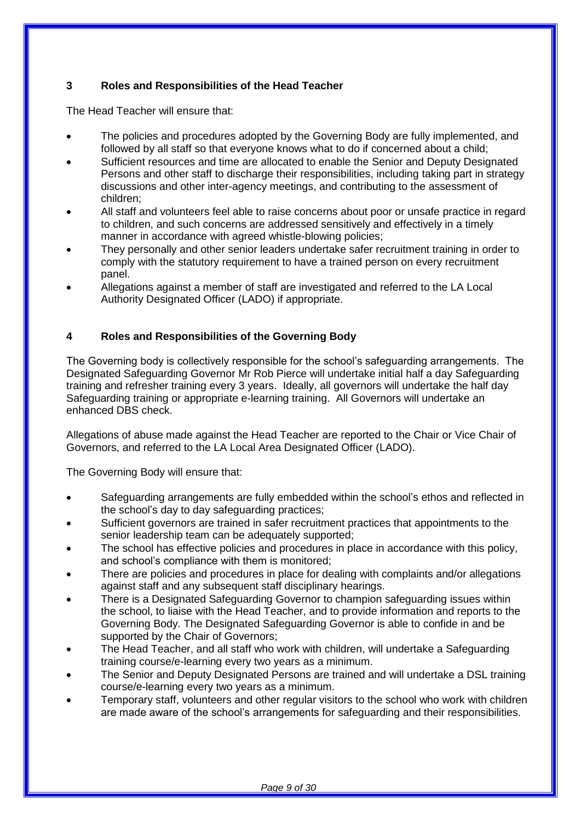## **3 Roles and Responsibilities of the Head Teacher**

The Head Teacher will ensure that:

- The policies and procedures adopted by the Governing Body are fully implemented, and followed by all staff so that everyone knows what to do if concerned about a child;
- Sufficient resources and time are allocated to enable the Senior and Deputy Designated Persons and other staff to discharge their responsibilities, including taking part in strategy discussions and other inter-agency meetings, and contributing to the assessment of children;
- All staff and volunteers feel able to raise concerns about poor or unsafe practice in regard to children, and such concerns are addressed sensitively and effectively in a timely manner in accordance with agreed whistle-blowing policies;
- They personally and other senior leaders undertake safer recruitment training in order to comply with the statutory requirement to have a trained person on every recruitment panel.
- Allegations against a member of staff are investigated and referred to the LA Local Authority Designated Officer (LADO) if appropriate.

## **4 Roles and Responsibilities of the Governing Body**

The Governing body is collectively responsible for the school's safeguarding arrangements. The Designated Safeguarding Governor Mr Rob Pierce will undertake initial half a day Safeguarding training and refresher training every 3 years. Ideally, all governors will undertake the half day Safeguarding training or appropriate e-learning training. All Governors will undertake an enhanced DBS check.

Allegations of abuse made against the Head Teacher are reported to the Chair or Vice Chair of Governors, and referred to the LA Local Area Designated Officer (LADO).

The Governing Body will ensure that:

- Safeguarding arrangements are fully embedded within the school's ethos and reflected in the school's day to day safeguarding practices;
- Sufficient governors are trained in safer recruitment practices that appointments to the senior leadership team can be adequately supported;
- The school has effective policies and procedures in place in accordance with this policy, and school's compliance with them is monitored;
- There are policies and procedures in place for dealing with complaints and/or allegations against staff and any subsequent staff disciplinary hearings.
- There is a Designated Safeguarding Governor to champion safeguarding issues within the school, to liaise with the Head Teacher, and to provide information and reports to the Governing Body. The Designated Safeguarding Governor is able to confide in and be supported by the Chair of Governors;
- The Head Teacher, and all staff who work with children, will undertake a Safeguarding training course/e-learning every two years as a minimum.
- The Senior and Deputy Designated Persons are trained and will undertake a DSL training course/e-learning every two years as a minimum.
- Temporary staff, volunteers and other regular visitors to the school who work with children are made aware of the school's arrangements for safeguarding and their responsibilities.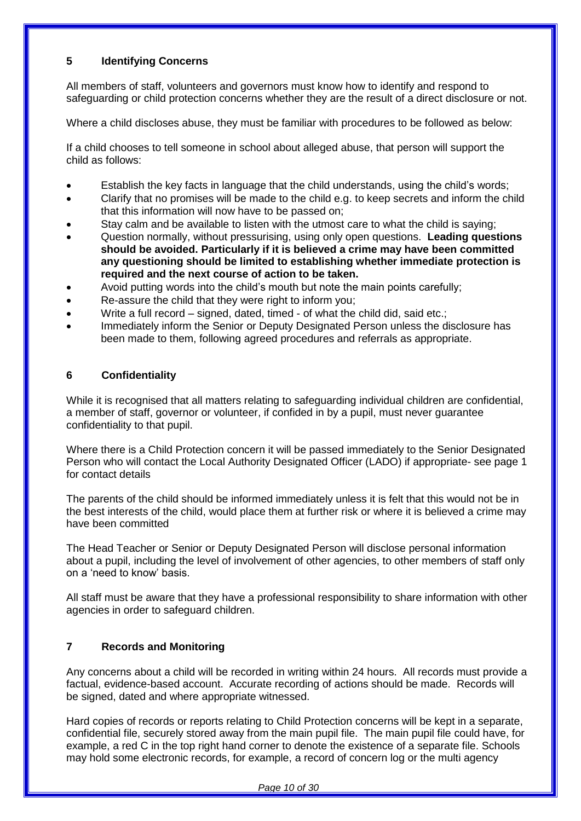## **5 Identifying Concerns**

All members of staff, volunteers and governors must know how to identify and respond to safeguarding or child protection concerns whether they are the result of a direct disclosure or not.

Where a child discloses abuse, they must be familiar with procedures to be followed as below:

If a child chooses to tell someone in school about alleged abuse, that person will support the child as follows:

- Establish the key facts in language that the child understands, using the child's words;
- Clarify that no promises will be made to the child e.g. to keep secrets and inform the child that this information will now have to be passed on;
- Stay calm and be available to listen with the utmost care to what the child is saying;
- Question normally, without pressurising, using only open questions. **Leading questions should be avoided. Particularly if it is believed a crime may have been committed any questioning should be limited to establishing whether immediate protection is required and the next course of action to be taken.**
- Avoid putting words into the child's mouth but note the main points carefully;
- Re-assure the child that they were right to inform you;
- Write a full record signed, dated, timed of what the child did, said etc.;
- Immediately inform the Senior or Deputy Designated Person unless the disclosure has been made to them, following agreed procedures and referrals as appropriate.

## **6 Confidentiality**

While it is recognised that all matters relating to safeguarding individual children are confidential, a member of staff, governor or volunteer, if confided in by a pupil, must never guarantee confidentiality to that pupil.

Where there is a Child Protection concern it will be passed immediately to the Senior Designated Person who will contact the Local Authority Designated Officer (LADO) if appropriate- see page 1 for contact details

The parents of the child should be informed immediately unless it is felt that this would not be in the best interests of the child, would place them at further risk or where it is believed a crime may have been committed

The Head Teacher or Senior or Deputy Designated Person will disclose personal information about a pupil, including the level of involvement of other agencies, to other members of staff only on a 'need to know' basis.

All staff must be aware that they have a professional responsibility to share information with other agencies in order to safeguard children.

## **7 Records and Monitoring**

Any concerns about a child will be recorded in writing within 24 hours. All records must provide a factual, evidence-based account. Accurate recording of actions should be made. Records will be signed, dated and where appropriate witnessed.

Hard copies of records or reports relating to Child Protection concerns will be kept in a separate, confidential file, securely stored away from the main pupil file. The main pupil file could have, for example, a red C in the top right hand corner to denote the existence of a separate file. Schools may hold some electronic records, for example, a record of concern log or the multi agency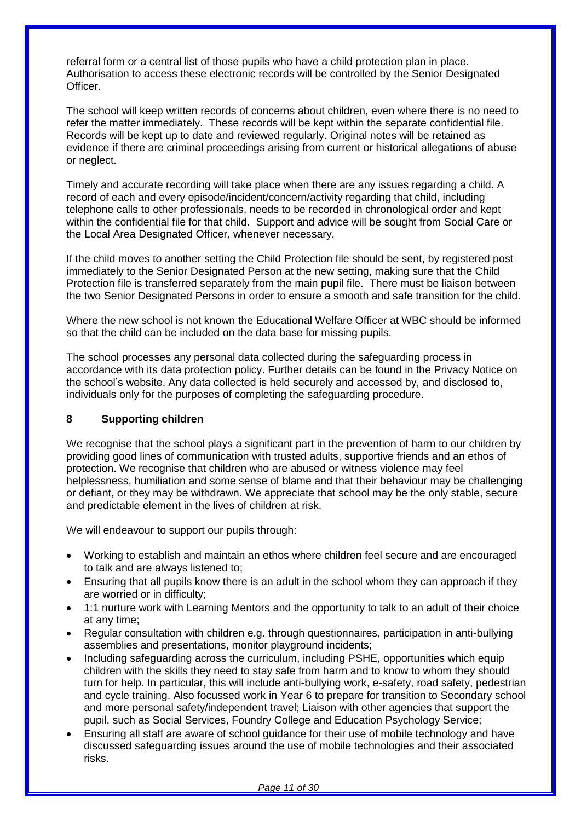referral form or a central list of those pupils who have a child protection plan in place. Authorisation to access these electronic records will be controlled by the Senior Designated Officer.

The school will keep written records of concerns about children, even where there is no need to refer the matter immediately. These records will be kept within the separate confidential file. Records will be kept up to date and reviewed regularly. Original notes will be retained as evidence if there are criminal proceedings arising from current or historical allegations of abuse or neglect.

Timely and accurate recording will take place when there are any issues regarding a child. A record of each and every episode/incident/concern/activity regarding that child, including telephone calls to other professionals, needs to be recorded in chronological order and kept within the confidential file for that child. Support and advice will be sought from Social Care or the Local Area Designated Officer, whenever necessary.

If the child moves to another setting the Child Protection file should be sent, by registered post immediately to the Senior Designated Person at the new setting, making sure that the Child Protection file is transferred separately from the main pupil file. There must be liaison between the two Senior Designated Persons in order to ensure a smooth and safe transition for the child.

Where the new school is not known the Educational Welfare Officer at WBC should be informed so that the child can be included on the data base for missing pupils.

The school processes any personal data collected during the safeguarding process in accordance with its data protection policy. Further details can be found in the Privacy Notice on the school's website. Any data collected is held securely and accessed by, and disclosed to, individuals only for the purposes of completing the safeguarding procedure.

## **8 Supporting children**

We recognise that the school plays a significant part in the prevention of harm to our children by providing good lines of communication with trusted adults, supportive friends and an ethos of protection. We recognise that children who are abused or witness violence may feel helplessness, humiliation and some sense of blame and that their behaviour may be challenging or defiant, or they may be withdrawn. We appreciate that school may be the only stable, secure and predictable element in the lives of children at risk.

We will endeavour to support our pupils through:

- Working to establish and maintain an ethos where children feel secure and are encouraged to talk and are always listened to;
- Ensuring that all pupils know there is an adult in the school whom they can approach if they are worried or in difficulty;
- 1:1 nurture work with Learning Mentors and the opportunity to talk to an adult of their choice at any time;
- Regular consultation with children e.g. through questionnaires, participation in anti-bullying assemblies and presentations, monitor playground incidents;
- Including safeguarding across the curriculum, including PSHE, opportunities which equip children with the skills they need to stay safe from harm and to know to whom they should turn for help. In particular, this will include anti-bullying work, e-safety, road safety, pedestrian and cycle training. Also focussed work in Year 6 to prepare for transition to Secondary school and more personal safety/independent travel; Liaison with other agencies that support the pupil, such as Social Services, Foundry College and Education Psychology Service;
- Ensuring all staff are aware of school guidance for their use of mobile technology and have discussed safeguarding issues around the use of mobile technologies and their associated risks.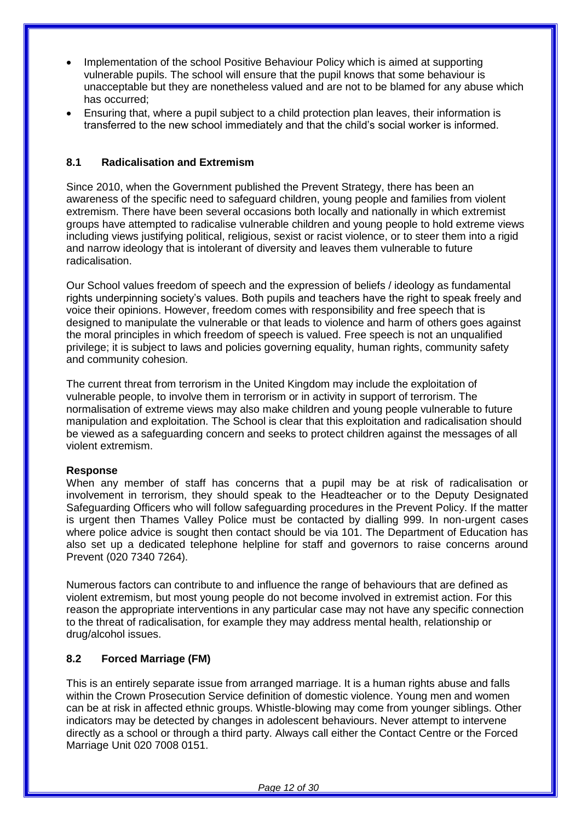- Implementation of the school Positive Behaviour Policy which is aimed at supporting vulnerable pupils. The school will ensure that the pupil knows that some behaviour is unacceptable but they are nonetheless valued and are not to be blamed for any abuse which has occurred;
- Ensuring that, where a pupil subject to a child protection plan leaves, their information is transferred to the new school immediately and that the child's social worker is informed.

#### **8.1 Radicalisation and Extremism**

Since 2010, when the Government published the Prevent Strategy, there has been an awareness of the specific need to safeguard children, young people and families from violent extremism. There have been several occasions both locally and nationally in which extremist groups have attempted to radicalise vulnerable children and young people to hold extreme views including views justifying political, religious, sexist or racist violence, or to steer them into a rigid and narrow ideology that is intolerant of diversity and leaves them vulnerable to future radicalisation.

Our School values freedom of speech and the expression of beliefs / ideology as fundamental rights underpinning society's values. Both pupils and teachers have the right to speak freely and voice their opinions. However, freedom comes with responsibility and free speech that is designed to manipulate the vulnerable or that leads to violence and harm of others goes against the moral principles in which freedom of speech is valued. Free speech is not an unqualified privilege; it is subject to laws and policies governing equality, human rights, community safety and community cohesion.

The current threat from terrorism in the United Kingdom may include the exploitation of vulnerable people, to involve them in terrorism or in activity in support of terrorism. The normalisation of extreme views may also make children and young people vulnerable to future manipulation and exploitation. The School is clear that this exploitation and radicalisation should be viewed as a safeguarding concern and seeks to protect children against the messages of all violent extremism.

#### **Response**

When any member of staff has concerns that a pupil may be at risk of radicalisation or involvement in terrorism, they should speak to the Headteacher or to the Deputy Designated Safeguarding Officers who will follow safeguarding procedures in the Prevent Policy. If the matter is urgent then Thames Valley Police must be contacted by dialling 999. In non-urgent cases where police advice is sought then contact should be via 101. The Department of Education has also set up a dedicated telephone helpline for staff and governors to raise concerns around Prevent (020 7340 7264).

Numerous factors can contribute to and influence the range of behaviours that are defined as violent extremism, but most young people do not become involved in extremist action. For this reason the appropriate interventions in any particular case may not have any specific connection to the threat of radicalisation, for example they may address mental health, relationship or drug/alcohol issues.

#### **8.2 Forced Marriage (FM)**

This is an entirely separate issue from arranged marriage. It is a human rights abuse and falls within the Crown Prosecution Service definition of domestic violence. Young men and women can be at risk in affected ethnic groups. Whistle-blowing may come from younger siblings. Other indicators may be detected by changes in adolescent behaviours. Never attempt to intervene directly as a school or through a third party. Always call either the Contact Centre or the Forced Marriage Unit 020 7008 0151.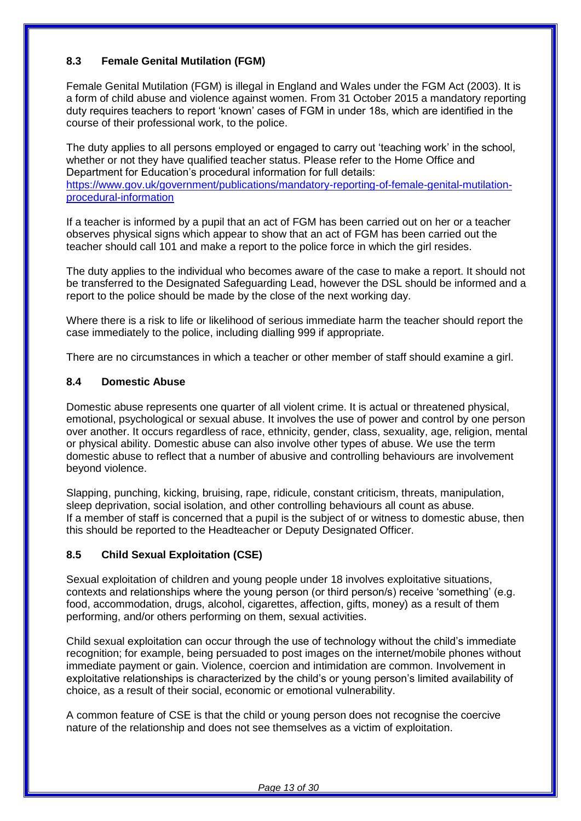## **8.3 Female Genital Mutilation (FGM)**

Female Genital Mutilation (FGM) is illegal in England and Wales under the FGM Act (2003). It is a form of child abuse and violence against women. From 31 October 2015 a mandatory reporting duty requires teachers to report 'known' cases of FGM in under 18s, which are identified in the course of their professional work, to the police.

The duty applies to all persons employed or engaged to carry out 'teaching work' in the school, whether or not they have qualified teacher status. Please refer to the Home Office and Department for Education's procedural information for full details: [https://www.gov.uk/government/publications/mandatory-reporting-of-female-genital-mutilation](https://www.gov.uk/government/publications/mandatory-reporting-of-female-genital-mutilation-procedural-information)[procedural-information](https://www.gov.uk/government/publications/mandatory-reporting-of-female-genital-mutilation-procedural-information)

If a teacher is informed by a pupil that an act of FGM has been carried out on her or a teacher observes physical signs which appear to show that an act of FGM has been carried out the teacher should call 101 and make a report to the police force in which the girl resides.

The duty applies to the individual who becomes aware of the case to make a report. It should not be transferred to the Designated Safeguarding Lead, however the DSL should be informed and a report to the police should be made by the close of the next working day.

Where there is a risk to life or likelihood of serious immediate harm the teacher should report the case immediately to the police, including dialling 999 if appropriate.

There are no circumstances in which a teacher or other member of staff should examine a girl.

## **8.4 Domestic Abuse**

Domestic abuse represents one quarter of all violent crime. It is actual or threatened physical, emotional, psychological or sexual abuse. It involves the use of power and control by one person over another. It occurs regardless of race, ethnicity, gender, class, sexuality, age, religion, mental or physical ability. Domestic abuse can also involve other types of abuse. We use the term domestic abuse to reflect that a number of abusive and controlling behaviours are involvement beyond violence.

Slapping, punching, kicking, bruising, rape, ridicule, constant criticism, threats, manipulation, sleep deprivation, social isolation, and other controlling behaviours all count as abuse. If a member of staff is concerned that a pupil is the subject of or witness to domestic abuse, then this should be reported to the Headteacher or Deputy Designated Officer.

## **8.5 Child Sexual Exploitation (CSE)**

Sexual exploitation of children and young people under 18 involves exploitative situations, contexts and relationships where the young person (or third person/s) receive 'something' (e.g. food, accommodation, drugs, alcohol, cigarettes, affection, gifts, money) as a result of them performing, and/or others performing on them, sexual activities.

Child sexual exploitation can occur through the use of technology without the child's immediate recognition; for example, being persuaded to post images on the internet/mobile phones without immediate payment or gain. Violence, coercion and intimidation are common. Involvement in exploitative relationships is characterized by the child's or young person's limited availability of choice, as a result of their social, economic or emotional vulnerability.

A common feature of CSE is that the child or young person does not recognise the coercive nature of the relationship and does not see themselves as a victim of exploitation.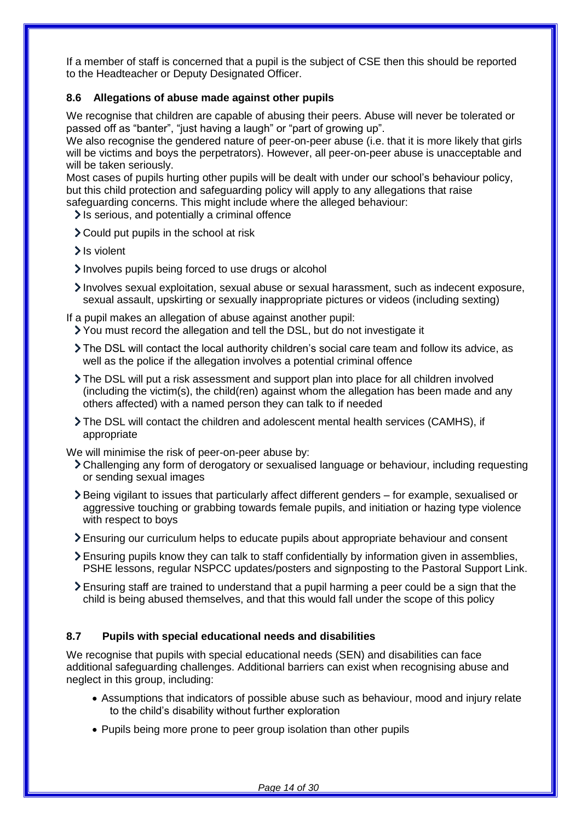If a member of staff is concerned that a pupil is the subject of CSE then this should be reported to the Headteacher or Deputy Designated Officer.

## **8.6 Allegations of abuse made against other pupils**

We recognise that children are capable of abusing their peers. Abuse will never be tolerated or passed off as "banter", "just having a laugh" or "part of growing up".

We also recognise the gendered nature of peer-on-peer abuse (i.e. that it is more likely that girls will be victims and boys the perpetrators). However, all peer-on-peer abuse is unacceptable and will be taken seriously.

Most cases of pupils hurting other pupils will be dealt with under our school's behaviour policy, but this child protection and safeguarding policy will apply to any allegations that raise safeguarding concerns. This might include where the alleged behaviour:

 $\ge$  Is serious, and potentially a criminal offence

- Could put pupils in the school at risk
- > Is violent
- Involves pupils being forced to use drugs or alcohol
- Involves sexual exploitation, sexual abuse or sexual harassment, such as indecent exposure, sexual assault, upskirting or sexually inappropriate pictures or videos (including sexting)

If a pupil makes an allegation of abuse against another pupil:

- You must record the allegation and tell the DSL, but do not investigate it
- The DSL will contact the local authority children's social care team and follow its advice, as well as the police if the allegation involves a potential criminal offence
- The DSL will put a risk assessment and support plan into place for all children involved (including the victim(s), the child(ren) against whom the allegation has been made and any others affected) with a named person they can talk to if needed
- The DSL will contact the children and adolescent mental health services (CAMHS), if appropriate

We will minimise the risk of peer-on-peer abuse by:

- Challenging any form of derogatory or sexualised language or behaviour, including requesting or sending sexual images
- Being vigilant to issues that particularly affect different genders for example, sexualised or aggressive touching or grabbing towards female pupils, and initiation or hazing type violence with respect to boys
- Ensuring our curriculum helps to educate pupils about appropriate behaviour and consent
- Ensuring pupils know they can talk to staff confidentially by information given in assemblies, PSHE lessons, regular NSPCC updates/posters and signposting to the Pastoral Support Link.
- Ensuring staff are trained to understand that a pupil harming a peer could be a sign that the child is being abused themselves, and that this would fall under the scope of this policy

## **8.7 Pupils with special educational needs and disabilities**

We recognise that pupils with special educational needs (SEN) and disabilities can face additional safeguarding challenges. Additional barriers can exist when recognising abuse and neglect in this group, including:

- Assumptions that indicators of possible abuse such as behaviour, mood and injury relate to the child's disability without further exploration
- Pupils being more prone to peer group isolation than other pupils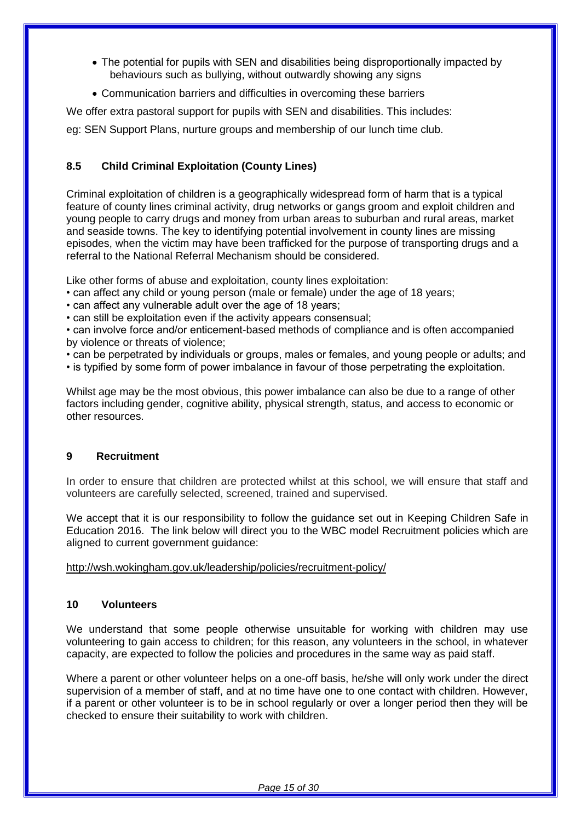- The potential for pupils with SEN and disabilities being disproportionally impacted by behaviours such as bullying, without outwardly showing any signs
- Communication barriers and difficulties in overcoming these barriers

We offer extra pastoral support for pupils with SEN and disabilities. This includes:

eg: SEN Support Plans, nurture groups and membership of our lunch time club.

## **8.5 Child Criminal Exploitation (County Lines)**

Criminal exploitation of children is a geographically widespread form of harm that is a typical feature of county lines criminal activity, drug networks or gangs groom and exploit children and young people to carry drugs and money from urban areas to suburban and rural areas, market and seaside towns. The key to identifying potential involvement in county lines are missing episodes, when the victim may have been trafficked for the purpose of transporting drugs and a referral to the National Referral Mechanism should be considered.

Like other forms of abuse and exploitation, county lines exploitation:

- can affect any child or young person (male or female) under the age of 18 years;
- can affect any vulnerable adult over the age of 18 years;
- can still be exploitation even if the activity appears consensual;

• can involve force and/or enticement-based methods of compliance and is often accompanied by violence or threats of violence;

• can be perpetrated by individuals or groups, males or females, and young people or adults; and

• is typified by some form of power imbalance in favour of those perpetrating the exploitation.

Whilst age may be the most obvious, this power imbalance can also be due to a range of other factors including gender, cognitive ability, physical strength, status, and access to economic or other resources.

## **9 Recruitment**

In order to ensure that children are protected whilst at this school, we will ensure that staff and volunteers are carefully selected, screened, trained and supervised.

We accept that it is our responsibility to follow the guidance set out in Keeping Children Safe in Education 2016. The link below will direct you to the WBC model Recruitment policies which are aligned to current government guidance:

<http://wsh.wokingham.gov.uk/leadership/policies/recruitment-policy/>

## **10 Volunteers**

We understand that some people otherwise unsuitable for working with children may use volunteering to gain access to children; for this reason, any volunteers in the school, in whatever capacity, are expected to follow the policies and procedures in the same way as paid staff.

Where a parent or other volunteer helps on a one-off basis, he/she will only work under the direct supervision of a member of staff, and at no time have one to one contact with children. However, if a parent or other volunteer is to be in school regularly or over a longer period then they will be checked to ensure their suitability to work with children.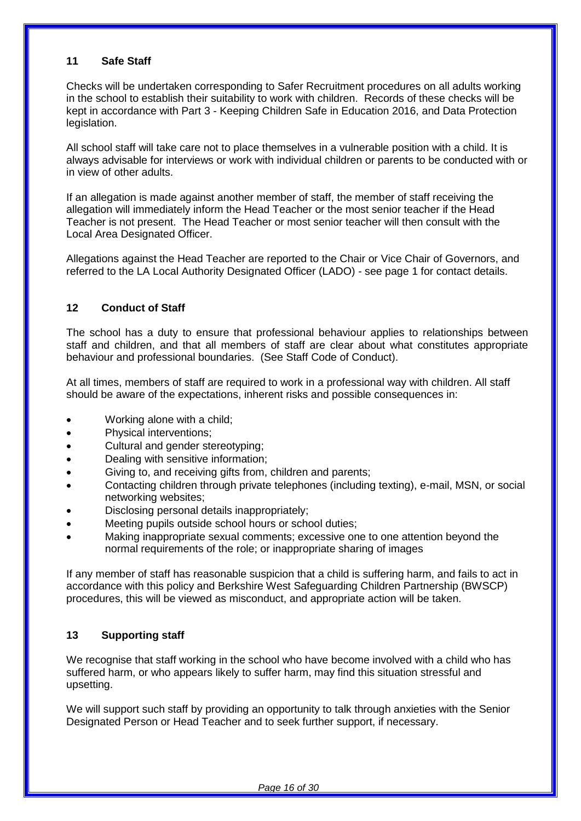## **11 Safe Staff**

Checks will be undertaken corresponding to Safer Recruitment procedures on all adults working in the school to establish their suitability to work with children. Records of these checks will be kept in accordance with Part 3 - Keeping Children Safe in Education 2016, and Data Protection legislation.

All school staff will take care not to place themselves in a vulnerable position with a child. It is always advisable for interviews or work with individual children or parents to be conducted with or in view of other adults.

If an allegation is made against another member of staff, the member of staff receiving the allegation will immediately inform the Head Teacher or the most senior teacher if the Head Teacher is not present. The Head Teacher or most senior teacher will then consult with the Local Area Designated Officer.

Allegations against the Head Teacher are reported to the Chair or Vice Chair of Governors, and referred to the LA Local Authority Designated Officer (LADO) - see page 1 for contact details.

## **12 Conduct of Staff**

The school has a duty to ensure that professional behaviour applies to relationships between staff and children, and that all members of staff are clear about what constitutes appropriate behaviour and professional boundaries. (See Staff Code of Conduct).

At all times, members of staff are required to work in a professional way with children. All staff should be aware of the expectations, inherent risks and possible consequences in:

- Working alone with a child;
- Physical interventions;
- Cultural and gender stereotyping;
- Dealing with sensitive information;
- Giving to, and receiving gifts from, children and parents;
- Contacting children through private telephones (including texting), e-mail, MSN, or social networking websites;
- Disclosing personal details inappropriately;
- Meeting pupils outside school hours or school duties;
- Making inappropriate sexual comments; excessive one to one attention beyond the normal requirements of the role; or inappropriate sharing of images

If any member of staff has reasonable suspicion that a child is suffering harm, and fails to act in accordance with this policy and Berkshire West Safeguarding Children Partnership (BWSCP) procedures, this will be viewed as misconduct, and appropriate action will be taken.

## **13 Supporting staff**

We recognise that staff working in the school who have become involved with a child who has suffered harm, or who appears likely to suffer harm, may find this situation stressful and upsetting.

We will support such staff by providing an opportunity to talk through anxieties with the Senior Designated Person or Head Teacher and to seek further support, if necessary.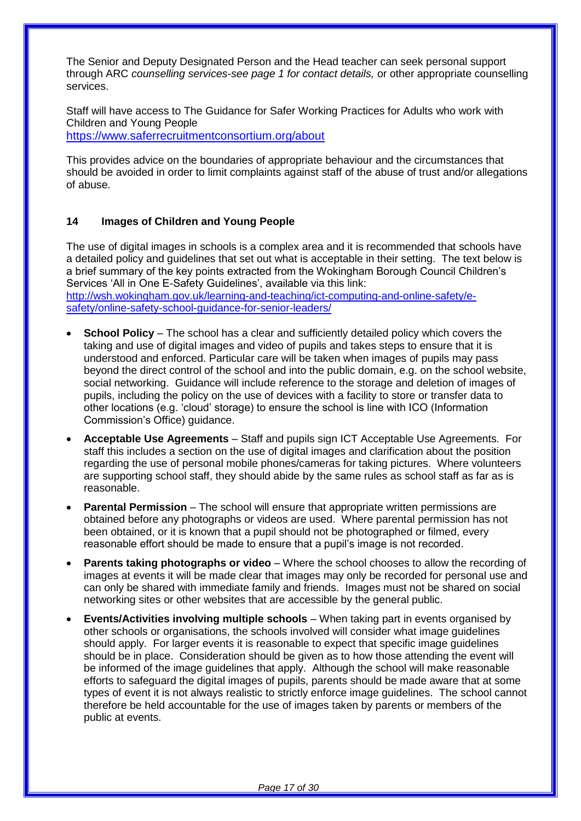The Senior and Deputy Designated Person and the Head teacher can seek personal support through ARC *counselling services-see page 1 for contact details,* or other appropriate counselling services.

Staff will have access to The Guidance for Safer Working Practices for Adults who work with Children and Young People

<https://www.saferrecruitmentconsortium.org/about>

This provides advice on the boundaries of appropriate behaviour and the circumstances that should be avoided in order to limit complaints against staff of the abuse of trust and/or allegations of abuse.

## **14 Images of Children and Young People**

The use of digital images in schools is a complex area and it is recommended that schools have a detailed policy and guidelines that set out what is acceptable in their setting. The text below is a brief summary of the key points extracted from the Wokingham Borough Council Children's Services 'All in One E-Safety Guidelines', available via this link: [http://wsh.wokingham.gov.uk/learning-and-teaching/ict-computing-and-online-safety/e-](http://wsh.wokingham.gov.uk/learning-and-teaching/ict-computing-and-online-safety/e-safety/online-safety-school-guidance-for-senior-leaders/)

[safety/online-safety-school-guidance-for-senior-leaders/](http://wsh.wokingham.gov.uk/learning-and-teaching/ict-computing-and-online-safety/e-safety/online-safety-school-guidance-for-senior-leaders/)

- **School Policy**  The school has a clear and sufficiently detailed policy which covers the taking and use of digital images and video of pupils and takes steps to ensure that it is understood and enforced. Particular care will be taken when images of pupils may pass beyond the direct control of the school and into the public domain, e.g. on the school website, social networking. Guidance will include reference to the storage and deletion of images of pupils, including the policy on the use of devices with a facility to store or transfer data to other locations (e.g. 'cloud' storage) to ensure the school is line with ICO (Information Commission's Office) guidance.
- **Acceptable Use Agreements**  Staff and pupils sign ICT Acceptable Use Agreements. For staff this includes a section on the use of digital images and clarification about the position regarding the use of personal mobile phones/cameras for taking pictures. Where volunteers are supporting school staff, they should abide by the same rules as school staff as far as is reasonable.
- **Parental Permission** The school will ensure that appropriate written permissions are obtained before any photographs or videos are used. Where parental permission has not been obtained, or it is known that a pupil should not be photographed or filmed, every reasonable effort should be made to ensure that a pupil's image is not recorded.
- **Parents taking photographs or video** Where the school chooses to allow the recording of images at events it will be made clear that images may only be recorded for personal use and can only be shared with immediate family and friends. Images must not be shared on social networking sites or other websites that are accessible by the general public.
- **Events/Activities involving multiple schools**  When taking part in events organised by other schools or organisations, the schools involved will consider what image guidelines should apply. For larger events it is reasonable to expect that specific image guidelines should be in place. Consideration should be given as to how those attending the event will be informed of the image guidelines that apply. Although the school will make reasonable efforts to safeguard the digital images of pupils, parents should be made aware that at some types of event it is not always realistic to strictly enforce image guidelines. The school cannot therefore be held accountable for the use of images taken by parents or members of the public at events.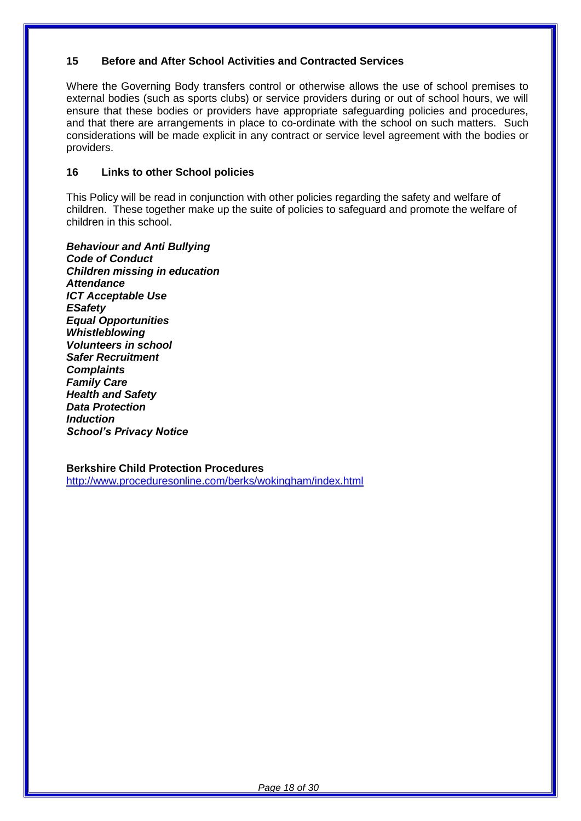## **15 Before and After School Activities and Contracted Services**

Where the Governing Body transfers control or otherwise allows the use of school premises to external bodies (such as sports clubs) or service providers during or out of school hours, we will ensure that these bodies or providers have appropriate safeguarding policies and procedures, and that there are arrangements in place to co-ordinate with the school on such matters. Such considerations will be made explicit in any contract or service level agreement with the bodies or providers.

## **16 Links to other School policies**

This Policy will be read in conjunction with other policies regarding the safety and welfare of children. These together make up the suite of policies to safeguard and promote the welfare of children in this school.

*Behaviour and Anti Bullying Code of Conduct Children missing in education Attendance ICT Acceptable Use ESafety Equal Opportunities Whistleblowing Volunteers in school Safer Recruitment Complaints Family Care Health and Safety Data Protection Induction School's Privacy Notice*

**Berkshire Child Protection Procedures** <http://www.proceduresonline.com/berks/wokingham/index.html>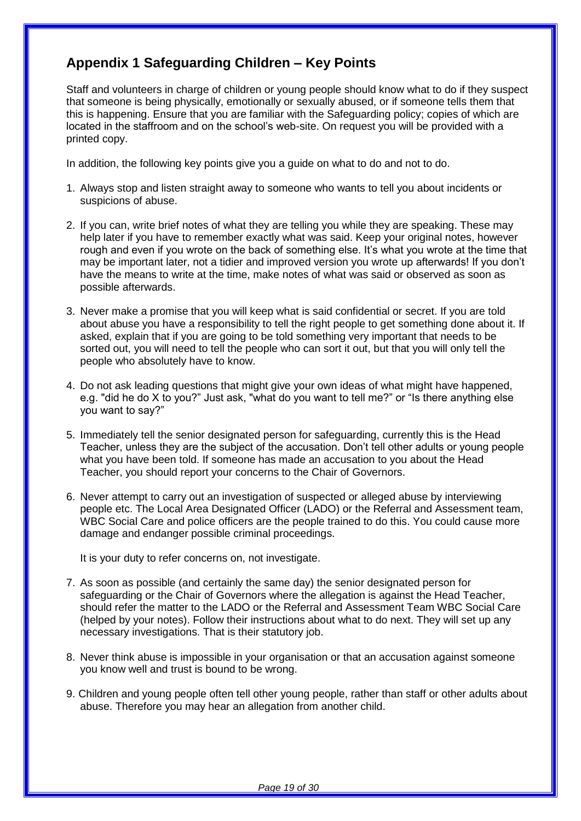## **Appendix 1 Safeguarding Children – Key Points**

Staff and volunteers in charge of children or young people should know what to do if they suspect that someone is being physically, emotionally or sexually abused, or if someone tells them that this is happening. Ensure that you are familiar with the Safeguarding policy; copies of which are located in the staffroom and on the school's web-site. On request you will be provided with a printed copy.

In addition, the following key points give you a guide on what to do and not to do.

- 1. Always stop and listen straight away to someone who wants to tell you about incidents or suspicions of abuse.
- 2. If you can, write brief notes of what they are telling you while they are speaking. These may help later if you have to remember exactly what was said. Keep your original notes, however rough and even if you wrote on the back of something else. It's what you wrote at the time that may be important later, not a tidier and improved version you wrote up afterwards! If you don't have the means to write at the time, make notes of what was said or observed as soon as possible afterwards.
- 3. Never make a promise that you will keep what is said confidential or secret. If you are told about abuse you have a responsibility to tell the right people to get something done about it. If asked, explain that if you are going to be told something very important that needs to be sorted out, you will need to tell the people who can sort it out, but that you will only tell the people who absolutely have to know.
- 4. Do not ask leading questions that might give your own ideas of what might have happened, e.g. "did he do X to you?" Just ask, "what do you want to tell me?" or "Is there anything else you want to say?"
- 5. Immediately tell the senior designated person for safeguarding, currently this is the Head Teacher, unless they are the subject of the accusation. Don't tell other adults or young people what you have been told. If someone has made an accusation to you about the Head Teacher, you should report your concerns to the Chair of Governors.
- 6. Never attempt to carry out an investigation of suspected or alleged abuse by interviewing people etc. The Local Area Designated Officer (LADO) or the Referral and Assessment team, WBC Social Care and police officers are the people trained to do this. You could cause more damage and endanger possible criminal proceedings.

It is your duty to refer concerns on, not investigate.

- 7. As soon as possible (and certainly the same day) the senior designated person for safeguarding or the Chair of Governors where the allegation is against the Head Teacher, should refer the matter to the LADO or the Referral and Assessment Team WBC Social Care (helped by your notes). Follow their instructions about what to do next. They will set up any necessary investigations. That is their statutory job.
- 8. Never think abuse is impossible in your organisation or that an accusation against someone you know well and trust is bound to be wrong.
- 9. Children and young people often tell other young people, rather than staff or other adults about abuse. Therefore you may hear an allegation from another child.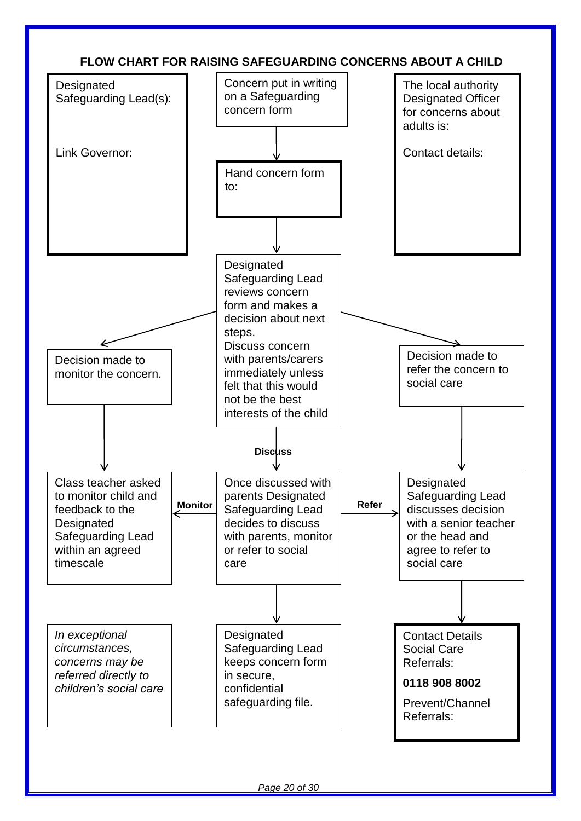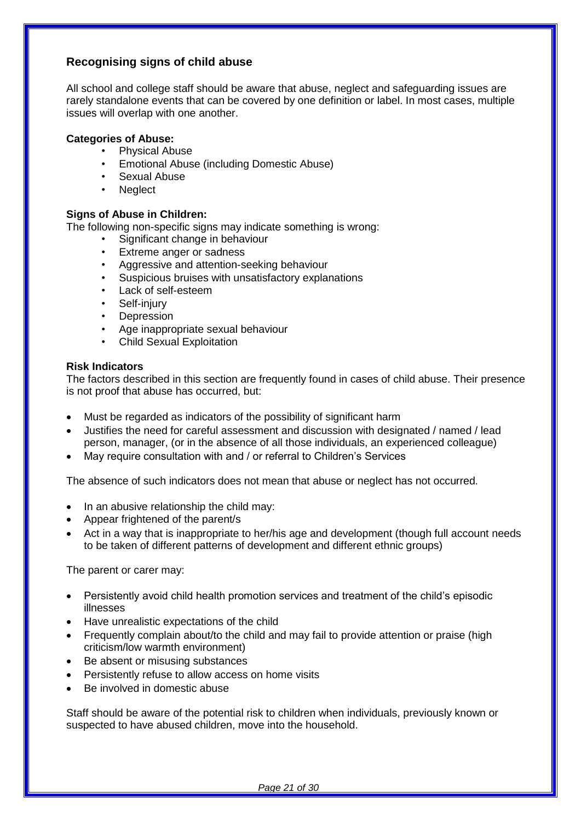## **Recognising signs of child abuse**

All school and college staff should be aware that abuse, neglect and safeguarding issues are rarely standalone events that can be covered by one definition or label. In most cases, multiple issues will overlap with one another.

## **Categories of Abuse:**

- Physical Abuse
- Emotional Abuse (including Domestic Abuse)
- Sexual Abuse
- Neglect

## **Signs of Abuse in Children:**

The following non-specific signs may indicate something is wrong:

- Significant change in behaviour
- Extreme anger or sadness
- Aggressive and attention-seeking behaviour
- Suspicious bruises with unsatisfactory explanations
- Lack of self-esteem
- Self-injury
- **Depression**
- Age inappropriate sexual behaviour
- Child Sexual Exploitation

#### **Risk Indicators**

The factors described in this section are frequently found in cases of child abuse. Their presence is not proof that abuse has occurred, but:

- Must be regarded as indicators of the possibility of significant harm
- Justifies the need for careful assessment and discussion with designated / named / lead person, manager, (or in the absence of all those individuals, an experienced colleague)
- May require consultation with and / or referral to Children's Services

The absence of such indicators does not mean that abuse or neglect has not occurred.

- In an abusive relationship the child may:
- Appear frightened of the parent/s
- Act in a way that is inappropriate to her/his age and development (though full account needs to be taken of different patterns of development and different ethnic groups)

The parent or carer may:

- Persistently avoid child health promotion services and treatment of the child's episodic illnesses
- Have unrealistic expectations of the child
- Frequently complain about/to the child and may fail to provide attention or praise (high criticism/low warmth environment)
- Be absent or misusing substances
- Persistently refuse to allow access on home visits
- Be involved in domestic abuse

Staff should be aware of the potential risk to children when individuals, previously known or suspected to have abused children, move into the household.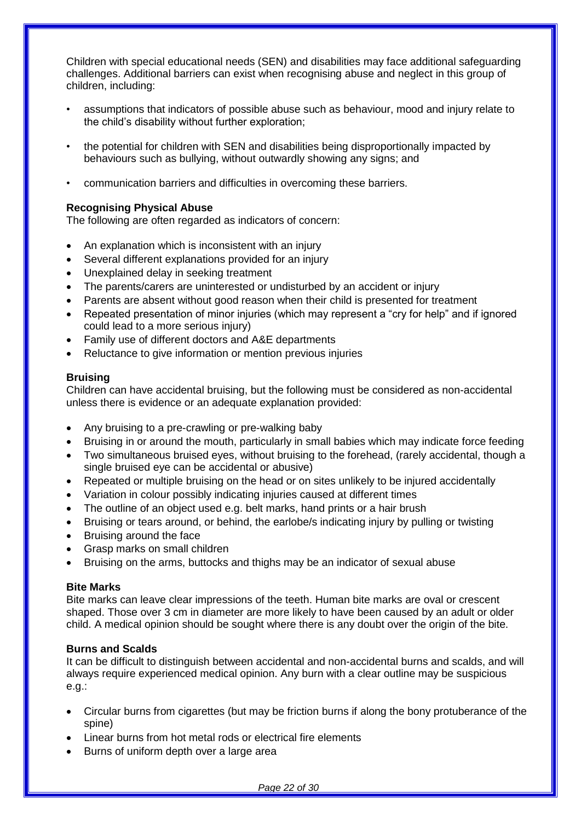Children with special educational needs (SEN) and disabilities may face additional safeguarding challenges. Additional barriers can exist when recognising abuse and neglect in this group of children, including:

- assumptions that indicators of possible abuse such as behaviour, mood and injury relate to the child's disability without further exploration;
- the potential for children with SEN and disabilities being disproportionally impacted by behaviours such as bullying, without outwardly showing any signs; and
- communication barriers and difficulties in overcoming these barriers.

## **Recognising Physical Abuse**

The following are often regarded as indicators of concern:

- An explanation which is inconsistent with an injury
- Several different explanations provided for an injury
- Unexplained delay in seeking treatment
- The parents/carers are uninterested or undisturbed by an accident or injury
- Parents are absent without good reason when their child is presented for treatment
- Repeated presentation of minor injuries (which may represent a "cry for help" and if ignored could lead to a more serious injury)
- Family use of different doctors and A&E departments
- Reluctance to give information or mention previous injuries

## **Bruising**

Children can have accidental bruising, but the following must be considered as non-accidental unless there is evidence or an adequate explanation provided:

- Any bruising to a pre-crawling or pre-walking baby
- Bruising in or around the mouth, particularly in small babies which may indicate force feeding
- Two simultaneous bruised eyes, without bruising to the forehead, (rarely accidental, though a single bruised eye can be accidental or abusive)
- Repeated or multiple bruising on the head or on sites unlikely to be injured accidentally
- Variation in colour possibly indicating injuries caused at different times
- The outline of an object used e.g. belt marks, hand prints or a hair brush
- Bruising or tears around, or behind, the earlobe/s indicating injury by pulling or twisting
- Bruising around the face
- Grasp marks on small children
- Bruising on the arms, buttocks and thighs may be an indicator of sexual abuse

## **Bite Marks**

Bite marks can leave clear impressions of the teeth. Human bite marks are oval or crescent shaped. Those over 3 cm in diameter are more likely to have been caused by an adult or older child. A medical opinion should be sought where there is any doubt over the origin of the bite.

## **Burns and Scalds**

It can be difficult to distinguish between accidental and non-accidental burns and scalds, and will always require experienced medical opinion. Any burn with a clear outline may be suspicious e.g.:

- Circular burns from cigarettes (but may be friction burns if along the bony protuberance of the spine)
- Linear burns from hot metal rods or electrical fire elements
- Burns of uniform depth over a large area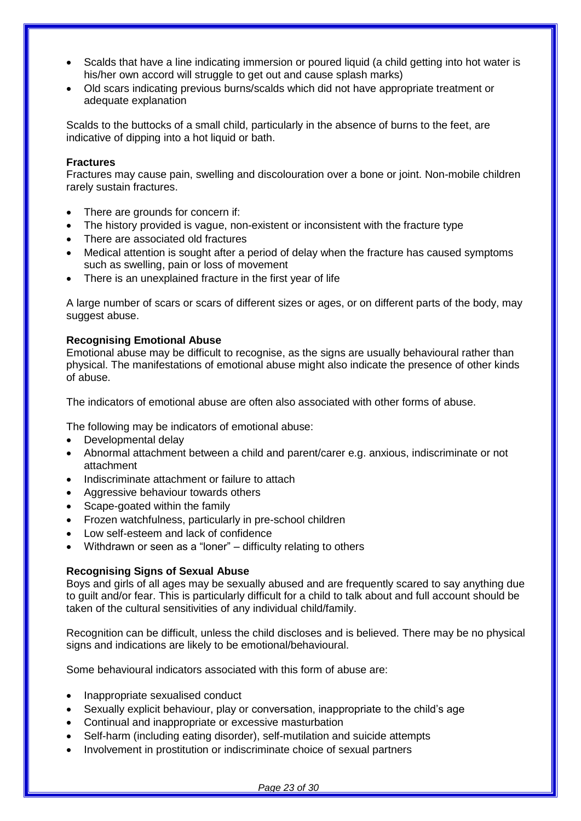- Scalds that have a line indicating immersion or poured liquid (a child getting into hot water is his/her own accord will struggle to get out and cause splash marks)
- Old scars indicating previous burns/scalds which did not have appropriate treatment or adequate explanation

Scalds to the buttocks of a small child, particularly in the absence of burns to the feet, are indicative of dipping into a hot liquid or bath.

#### **Fractures**

Fractures may cause pain, swelling and discolouration over a bone or joint. Non-mobile children rarely sustain fractures.

- There are grounds for concern if:
- The history provided is vague, non-existent or inconsistent with the fracture type
- There are associated old fractures
- Medical attention is sought after a period of delay when the fracture has caused symptoms such as swelling, pain or loss of movement
- There is an unexplained fracture in the first year of life

A large number of scars or scars of different sizes or ages, or on different parts of the body, may suggest abuse.

#### **Recognising Emotional Abuse**

Emotional abuse may be difficult to recognise, as the signs are usually behavioural rather than physical. The manifestations of emotional abuse might also indicate the presence of other kinds of abuse.

The indicators of emotional abuse are often also associated with other forms of abuse.

The following may be indicators of emotional abuse:

- Developmental delay
- Abnormal attachment between a child and parent/carer e.g. anxious, indiscriminate or not attachment
- Indiscriminate attachment or failure to attach
- Aggressive behaviour towards others
- Scape-goated within the family
- Frozen watchfulness, particularly in pre-school children
- Low self-esteem and lack of confidence
- Withdrawn or seen as a "loner" difficulty relating to others

## **Recognising Signs of Sexual Abuse**

Boys and girls of all ages may be sexually abused and are frequently scared to say anything due to guilt and/or fear. This is particularly difficult for a child to talk about and full account should be taken of the cultural sensitivities of any individual child/family.

Recognition can be difficult, unless the child discloses and is believed. There may be no physical signs and indications are likely to be emotional/behavioural.

Some behavioural indicators associated with this form of abuse are:

- Inappropriate sexualised conduct
- Sexually explicit behaviour, play or conversation, inappropriate to the child's age
- Continual and inappropriate or excessive masturbation
- Self-harm (including eating disorder), self-mutilation and suicide attempts
- Involvement in prostitution or indiscriminate choice of sexual partners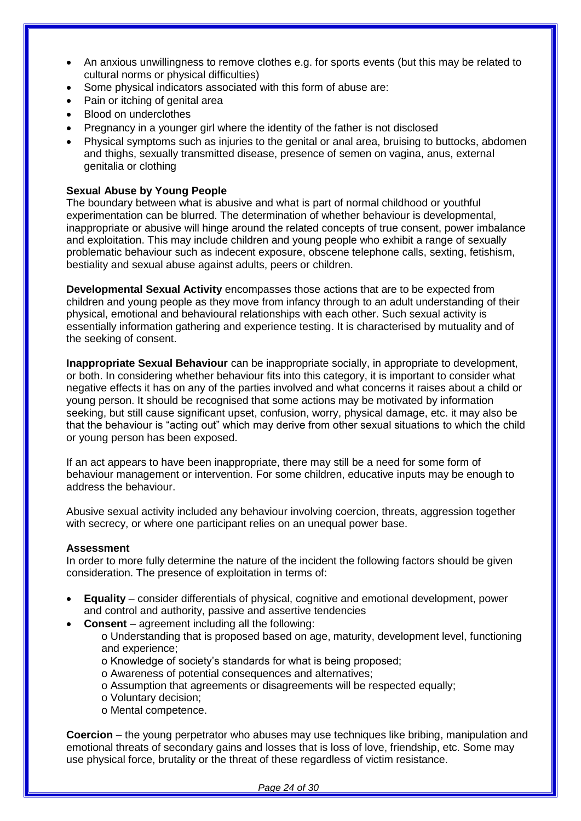- An anxious unwillingness to remove clothes e.g. for sports events (but this may be related to cultural norms or physical difficulties)
- Some physical indicators associated with this form of abuse are:
- Pain or itching of genital area
- Blood on underclothes
- Pregnancy in a younger girl where the identity of the father is not disclosed
- Physical symptoms such as injuries to the genital or anal area, bruising to buttocks, abdomen and thighs, sexually transmitted disease, presence of semen on vagina, anus, external genitalia or clothing

## **Sexual Abuse by Young People**

The boundary between what is abusive and what is part of normal childhood or youthful experimentation can be blurred. The determination of whether behaviour is developmental, inappropriate or abusive will hinge around the related concepts of true consent, power imbalance and exploitation. This may include children and young people who exhibit a range of sexually problematic behaviour such as indecent exposure, obscene telephone calls, sexting, fetishism, bestiality and sexual abuse against adults, peers or children.

**Developmental Sexual Activity** encompasses those actions that are to be expected from children and young people as they move from infancy through to an adult understanding of their physical, emotional and behavioural relationships with each other. Such sexual activity is essentially information gathering and experience testing. It is characterised by mutuality and of the seeking of consent.

**Inappropriate Sexual Behaviour** can be inappropriate socially, in appropriate to development, or both. In considering whether behaviour fits into this category, it is important to consider what negative effects it has on any of the parties involved and what concerns it raises about a child or young person. It should be recognised that some actions may be motivated by information seeking, but still cause significant upset, confusion, worry, physical damage, etc. it may also be that the behaviour is "acting out" which may derive from other sexual situations to which the child or young person has been exposed.

If an act appears to have been inappropriate, there may still be a need for some form of behaviour management or intervention. For some children, educative inputs may be enough to address the behaviour.

Abusive sexual activity included any behaviour involving coercion, threats, aggression together with secrecy, or where one participant relies on an unequal power base.

## **Assessment**

In order to more fully determine the nature of the incident the following factors should be given consideration. The presence of exploitation in terms of:

- **Equality**  consider differentials of physical, cognitive and emotional development, power and control and authority, passive and assertive tendencies
- **Consent**  agreement including all the following:

o Understanding that is proposed based on age, maturity, development level, functioning and experience;

- o Knowledge of society's standards for what is being proposed;
- o Awareness of potential consequences and alternatives;
- o Assumption that agreements or disagreements will be respected equally;
- o Voluntary decision;
- o Mental competence.

**Coercion** – the young perpetrator who abuses may use techniques like bribing, manipulation and emotional threats of secondary gains and losses that is loss of love, friendship, etc. Some may use physical force, brutality or the threat of these regardless of victim resistance.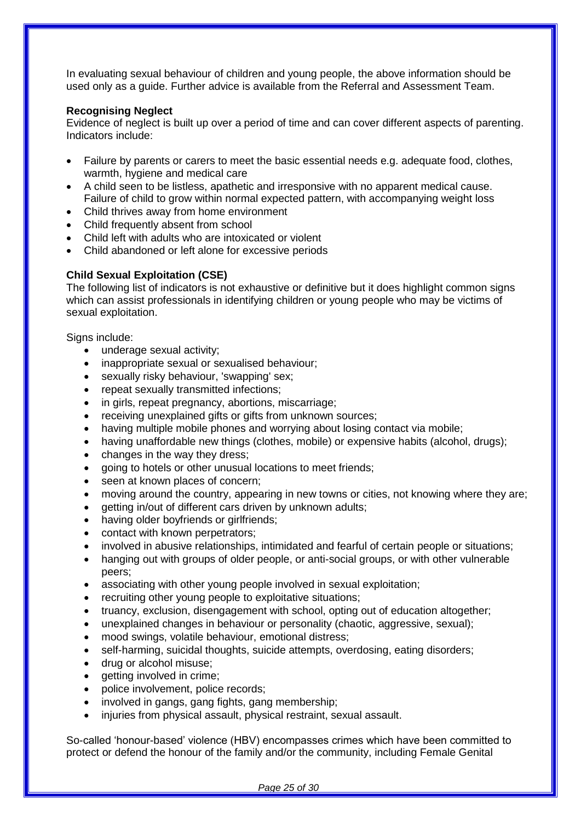In evaluating sexual behaviour of children and young people, the above information should be used only as a guide. Further advice is available from the Referral and Assessment Team.

## **Recognising Neglect**

Evidence of neglect is built up over a period of time and can cover different aspects of parenting. Indicators include:

- Failure by parents or carers to meet the basic essential needs e.g. adequate food, clothes, warmth, hygiene and medical care
- A child seen to be listless, apathetic and irresponsive with no apparent medical cause. Failure of child to grow within normal expected pattern, with accompanying weight loss
- Child thrives away from home environment
- Child frequently absent from school
- Child left with adults who are intoxicated or violent
- Child abandoned or left alone for excessive periods

#### **Child Sexual Exploitation (CSE)**

The following list of indicators is not exhaustive or definitive but it does highlight common signs which can assist professionals in identifying children or young people who may be victims of sexual exploitation.

Signs include:

- underage sexual activity;
- inappropriate sexual or sexualised behaviour;
- sexually risky behaviour, 'swapping' sex;
- repeat sexually transmitted infections;
- in girls, repeat pregnancy, abortions, miscarriage;
- receiving unexplained gifts or gifts from unknown sources;
- having multiple mobile phones and worrying about losing contact via mobile;
- having unaffordable new things (clothes, mobile) or expensive habits (alcohol, drugs);
- changes in the way they dress;
- going to hotels or other unusual locations to meet friends;
- seen at known places of concern;
- moving around the country, appearing in new towns or cities, not knowing where they are;
- getting in/out of different cars driven by unknown adults;
- having older boyfriends or girlfriends;
- contact with known perpetrators;
- involved in abusive relationships, intimidated and fearful of certain people or situations;
- hanging out with groups of older people, or anti-social groups, or with other vulnerable peers;
- associating with other young people involved in sexual exploitation;
- recruiting other young people to exploitative situations;
- truancy, exclusion, disengagement with school, opting out of education altogether;
- unexplained changes in behaviour or personality (chaotic, aggressive, sexual);
- mood swings, volatile behaviour, emotional distress;
- self-harming, suicidal thoughts, suicide attempts, overdosing, eating disorders;
- drug or alcohol misuse;
- getting involved in crime;
- police involvement, police records;
- involved in gangs, gang fights, gang membership;
- injuries from physical assault, physical restraint, sexual assault.

So-called 'honour-based' violence (HBV) encompasses crimes which have been committed to protect or defend the honour of the family and/or the community, including Female Genital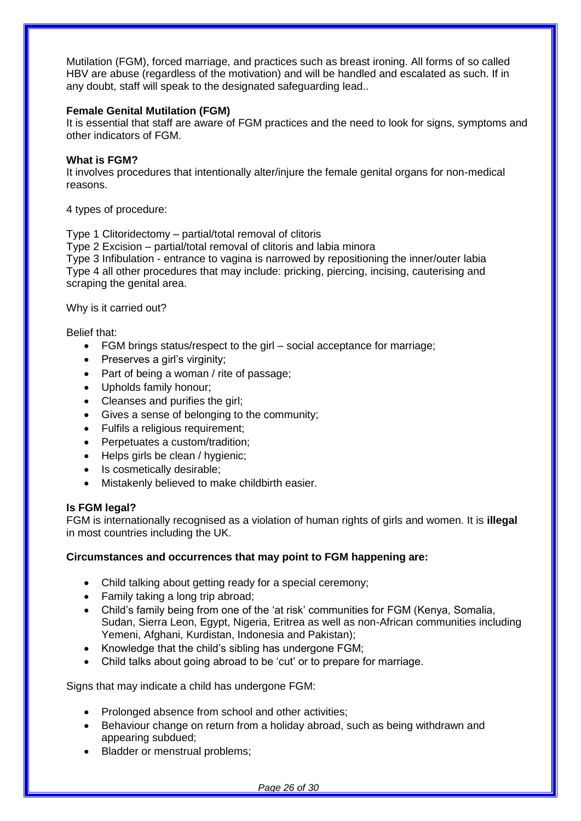Mutilation (FGM), forced marriage, and practices such as breast ironing. All forms of so called HBV are abuse (regardless of the motivation) and will be handled and escalated as such. If in any doubt, staff will speak to the designated safeguarding lead..

#### **Female Genital Mutilation (FGM)**

It is essential that staff are aware of FGM practices and the need to look for signs, symptoms and other indicators of FGM.

#### **What is FGM?**

It involves procedures that intentionally alter/injure the female genital organs for non-medical reasons.

4 types of procedure:

Type 1 Clitoridectomy – partial/total removal of clitoris

Type 2 Excision – partial/total removal of clitoris and labia minora

Type 3 Infibulation - entrance to vagina is narrowed by repositioning the inner/outer labia Type 4 all other procedures that may include: pricking, piercing, incising, cauterising and scraping the genital area.

Why is it carried out?

Belief that:

- FGM brings status/respect to the girl social acceptance for marriage;
- Preserves a girl's virginity;
- Part of being a woman / rite of passage;
- Upholds family honour;
- Cleanses and purifies the girl;
- Gives a sense of belonging to the community;
- Fulfils a religious requirement;
- Perpetuates a custom/tradition;
- Helps girls be clean / hygienic;
- Is cosmetically desirable;
- Mistakenly believed to make childbirth easier.

## **Is FGM legal?**

FGM is internationally recognised as a violation of human rights of girls and women. It is **illegal**  in most countries including the UK.

## **Circumstances and occurrences that may point to FGM happening are:**

- Child talking about getting ready for a special ceremony;
- Family taking a long trip abroad;
- Child's family being from one of the 'at risk' communities for FGM (Kenya, Somalia, Sudan, Sierra Leon, Egypt, Nigeria, Eritrea as well as non-African communities including Yemeni, Afghani, Kurdistan, Indonesia and Pakistan);
- Knowledge that the child's sibling has undergone FGM;
- Child talks about going abroad to be 'cut' or to prepare for marriage.

Signs that may indicate a child has undergone FGM:

- Prolonged absence from school and other activities;
- Behaviour change on return from a holiday abroad, such as being withdrawn and appearing subdued;
- Bladder or menstrual problems;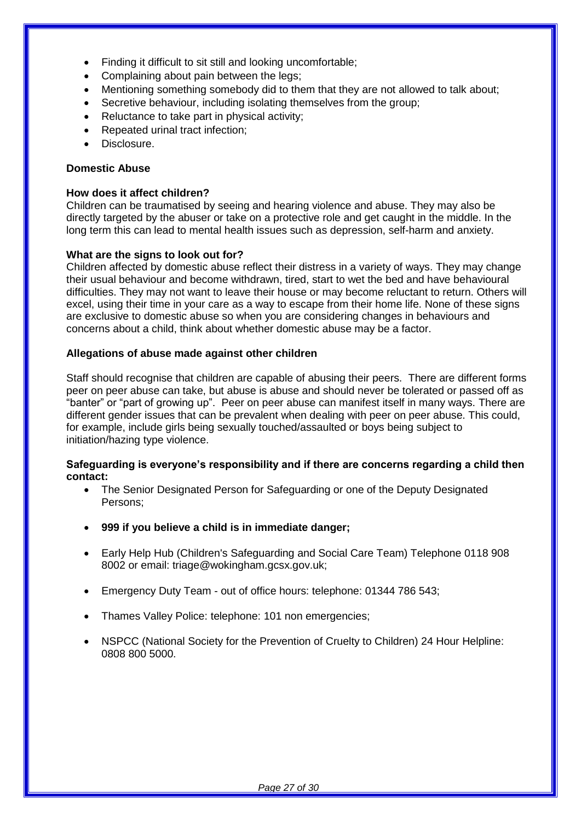- Finding it difficult to sit still and looking uncomfortable;
- Complaining about pain between the legs;
- Mentioning something somebody did to them that they are not allowed to talk about;
- Secretive behaviour, including isolating themselves from the group;
- Reluctance to take part in physical activity;
- Repeated urinal tract infection;
- Disclosure.

## **Domestic Abuse**

## **How does it affect children?**

Children can be traumatised by seeing and hearing violence and abuse. They may also be directly targeted by the abuser or take on a protective role and get caught in the middle. In the long term this can lead to mental health issues such as depression, self-harm and anxiety.

## **What are the signs to look out for?**

Children affected by domestic abuse reflect their distress in a variety of ways. They may change their usual behaviour and become withdrawn, tired, start to wet the bed and have behavioural difficulties. They may not want to leave their house or may become reluctant to return. Others will excel, using their time in your care as a way to escape from their home life. None of these signs are exclusive to domestic abuse so when you are considering changes in behaviours and concerns about a child, think about whether domestic abuse may be a factor.

## **Allegations of abuse made against other children**

Staff should recognise that children are capable of abusing their peers. There are different forms peer on peer abuse can take, but abuse is abuse and should never be tolerated or passed off as "banter" or "part of growing up". Peer on peer abuse can manifest itself in many ways. There are different gender issues that can be prevalent when dealing with peer on peer abuse. This could, for example, include girls being sexually touched/assaulted or boys being subject to initiation/hazing type violence.

#### **Safeguarding is everyone's responsibility and if there are concerns regarding a child then contact:**

- The Senior Designated Person for Safeguarding or one of the Deputy Designated Persons;
- **999 if you believe a child is in immediate danger;**
- Early Help Hub (Children's Safeguarding and Social Care Team) Telephone 0118 908 8002 or email: triage@wokingham.gcsx.gov.uk;
- Emergency Duty Team out of office hours: telephone: 01344 786 543;
- Thames Valley Police: telephone: 101 non emergencies;
- NSPCC (National Society for the Prevention of Cruelty to Children) 24 Hour Helpline: 0808 800 5000.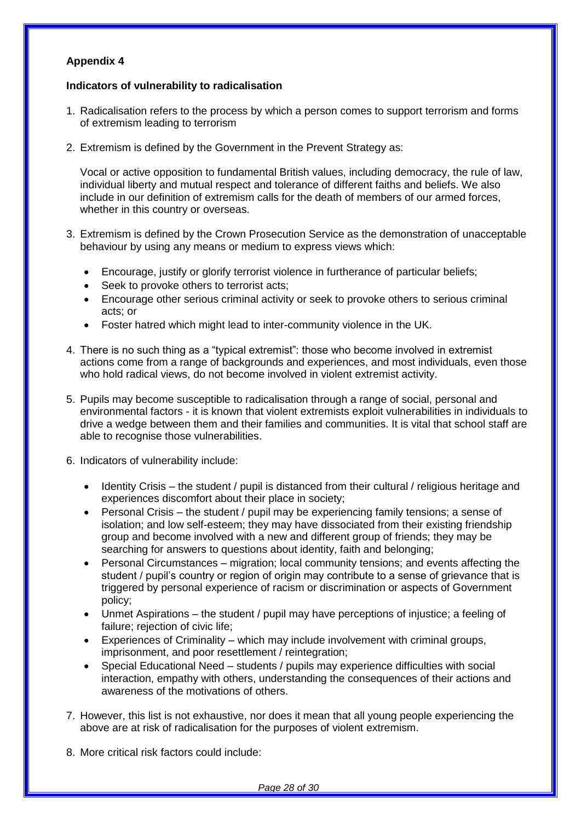## **Appendix 4**

## **Indicators of vulnerability to radicalisation**

- 1. Radicalisation refers to the process by which a person comes to support terrorism and forms of extremism leading to terrorism
- 2. Extremism is defined by the Government in the Prevent Strategy as:

Vocal or active opposition to fundamental British values, including democracy, the rule of law, individual liberty and mutual respect and tolerance of different faiths and beliefs. We also include in our definition of extremism calls for the death of members of our armed forces, whether in this country or overseas.

- 3. Extremism is defined by the Crown Prosecution Service as the demonstration of unacceptable behaviour by using any means or medium to express views which:
	- Encourage, justify or glorify terrorist violence in furtherance of particular beliefs;
	- Seek to provoke others to terrorist acts;
	- Encourage other serious criminal activity or seek to provoke others to serious criminal acts; or
	- Foster hatred which might lead to inter-community violence in the UK.
- 4. There is no such thing as a "typical extremist": those who become involved in extremist actions come from a range of backgrounds and experiences, and most individuals, even those who hold radical views, do not become involved in violent extremist activity.
- 5. Pupils may become susceptible to radicalisation through a range of social, personal and environmental factors - it is known that violent extremists exploit vulnerabilities in individuals to drive a wedge between them and their families and communities. It is vital that school staff are able to recognise those vulnerabilities.
- 6. Indicators of vulnerability include:
	- Identity Crisis the student / pupil is distanced from their cultural / religious heritage and experiences discomfort about their place in society;
	- Personal Crisis the student / pupil may be experiencing family tensions; a sense of isolation; and low self-esteem; they may have dissociated from their existing friendship group and become involved with a new and different group of friends; they may be searching for answers to questions about identity, faith and belonging;
	- Personal Circumstances migration; local community tensions; and events affecting the student / pupil's country or region of origin may contribute to a sense of grievance that is triggered by personal experience of racism or discrimination or aspects of Government policy;
	- Unmet Aspirations the student / pupil may have perceptions of injustice; a feeling of failure; rejection of civic life;
	- Experiences of Criminality which may include involvement with criminal groups, imprisonment, and poor resettlement / reintegration;
	- Special Educational Need students / pupils may experience difficulties with social interaction, empathy with others, understanding the consequences of their actions and awareness of the motivations of others.
- 7. However, this list is not exhaustive, nor does it mean that all young people experiencing the above are at risk of radicalisation for the purposes of violent extremism.
- 8. More critical risk factors could include: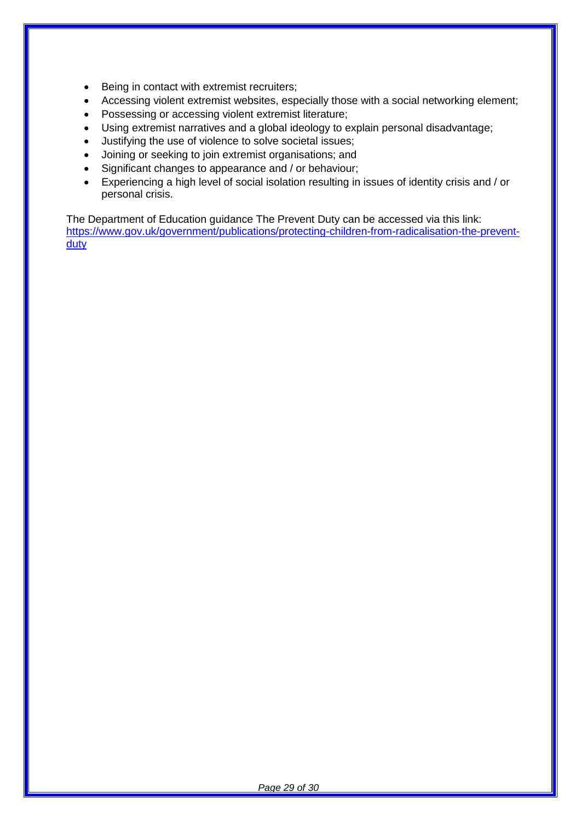- Being in contact with extremist recruiters;
- Accessing violent extremist websites, especially those with a social networking element;
- Possessing or accessing violent extremist literature;
- Using extremist narratives and a global ideology to explain personal disadvantage;
- Justifying the use of violence to solve societal issues;
- Joining or seeking to join extremist organisations; and
- Significant changes to appearance and / or behaviour;
- Experiencing a high level of social isolation resulting in issues of identity crisis and / or personal crisis.

The Department of Education guidance The Prevent Duty can be accessed via this link: [https://www.gov.uk/government/publications/protecting-children-from-radicalisation-the-prevent](https://www.gov.uk/government/publications/protecting-children-from-radicalisation-the-prevent-duty)[duty](https://www.gov.uk/government/publications/protecting-children-from-radicalisation-the-prevent-duty)